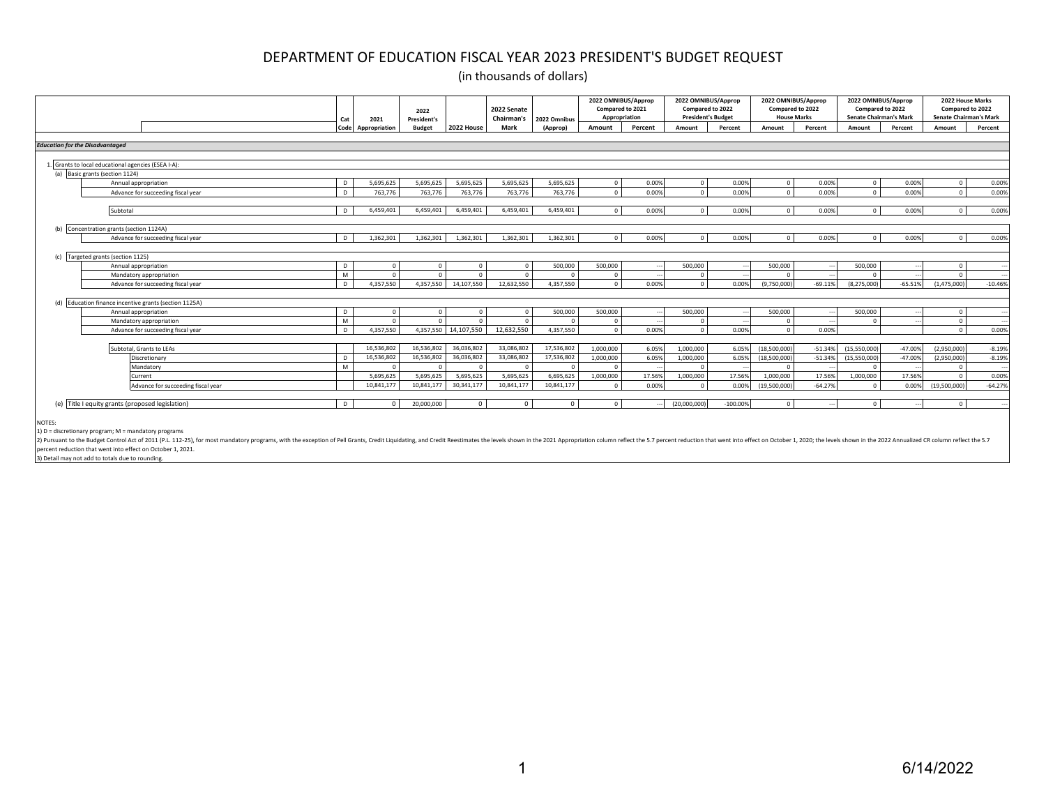(in thousands of dollars)

|                                                        |                                    | Cat            | 2021          | 2022<br>President's |            | 2022 Senate<br>Chairman's | 2022 Omnibus | 2022 OMNIBUS/Approp<br>Compared to 2021<br>Appropriation |         | 2022 OMNIBUS/Approp<br>Compared to 2022<br><b>President's Budget</b> |           | 2022 OMNIBUS/Approp<br>Compared to 2022<br><b>House Marks</b> |           | 2022 OMNIBUS/Approp<br>Compared to 2022<br><b>Senate Chairman's Mark</b> |           | Compared to 2022 | 2022 House Marks<br><b>Senate Chairman's Mark</b> |
|--------------------------------------------------------|------------------------------------|----------------|---------------|---------------------|------------|---------------------------|--------------|----------------------------------------------------------|---------|----------------------------------------------------------------------|-----------|---------------------------------------------------------------|-----------|--------------------------------------------------------------------------|-----------|------------------|---------------------------------------------------|
|                                                        |                                    | Code           | Appropriation | <b>Budget</b>       | 2022 House | Mark                      | (Approp)     | Amount                                                   | Percent | Amount                                                               | Percent   | Amount                                                        | Percent   | Amount                                                                   | Percent   | Amount           | Percent                                           |
|                                                        |                                    |                |               |                     |            |                           |              |                                                          |         |                                                                      |           |                                                               |           |                                                                          |           |                  |                                                   |
| <b>Education for the Disadvantaged</b>                 |                                    |                |               |                     |            |                           |              |                                                          |         |                                                                      |           |                                                               |           |                                                                          |           |                  |                                                   |
|                                                        |                                    |                |               |                     |            |                           |              |                                                          |         |                                                                      |           |                                                               |           |                                                                          |           |                  |                                                   |
| Grants to local educational agencies (ESEA I-A):       |                                    |                |               |                     |            |                           |              |                                                          |         |                                                                      |           |                                                               |           |                                                                          |           |                  |                                                   |
| (a) Basic grants (section 1124)                        |                                    |                |               |                     |            |                           |              |                                                          |         |                                                                      |           |                                                               |           |                                                                          |           |                  |                                                   |
|                                                        | Annual appropriation               | D              | 5.695.625     | 5.695.625           | 5.695.625  | 5.695.625                 | 5.695.625    | $\Omega$                                                 | 0.00%   | $\Omega$                                                             | 0.00%     | $\Omega$                                                      | 0.00%     | $\Omega$                                                                 | 0.00%     |                  | 0.00%                                             |
|                                                        | Advance for succeeding fiscal year | D.             | 763.776       | 763.776             | 763,776    | 763.776                   | 763.776      | $\Omega$                                                 | 0.00%   | $\sqrt{2}$                                                           | 0.00%     | $\Omega$                                                      | 0.00%     | $\Omega$                                                                 | 0.00%     |                  | 0.00%                                             |
|                                                        |                                    |                |               |                     |            |                           |              |                                                          |         |                                                                      |           |                                                               |           |                                                                          |           |                  |                                                   |
| Subtotal                                               |                                    | $\Gamma$       | 6.459.401     | 6,459,401           | 6.459.401  | 6.459.401                 | 6,459,401    | $\Omega$                                                 | 0.00%   | $\Omega$                                                             | 0.00%     | $\Omega$                                                      | 0.00%     | $\Omega$                                                                 | 0.00%     | $\sim$           | 0.00%                                             |
|                                                        |                                    |                |               |                     |            |                           |              |                                                          |         |                                                                      |           |                                                               |           |                                                                          |           |                  |                                                   |
| Concentration grants (section 1124A)                   |                                    |                | 1,362,301     | 1,362,301           | 1,362,301  | 1,362,301                 | 1,362,301    | $\Omega$                                                 | 0.00%   | $\Omega$                                                             | 0.00%     | $\Omega$                                                      |           | $\Omega$                                                                 | 0.00%     |                  |                                                   |
|                                                        | Advance for succeeding fiscal year |                |               |                     |            |                           |              |                                                          |         |                                                                      |           |                                                               | 0.00%     |                                                                          |           |                  | 0.00%                                             |
|                                                        |                                    |                |               |                     |            |                           |              |                                                          |         |                                                                      |           |                                                               |           |                                                                          |           |                  |                                                   |
| Targeted grants (section 1125)                         | Annual appropriation               | <sub>D</sub>   | $\Omega$      | $\sqrt{2}$          | $\sqrt{ }$ | $\sqrt{2}$                | 500,000      | 500,000                                                  |         | 500,000                                                              |           | 500,000                                                       |           | 500,000                                                                  |           |                  |                                                   |
|                                                        | Mandatory appropriation            | M              | $\Omega$      |                     |            |                           | $\Omega$     | $\Omega$                                                 |         | $\sqrt{2}$                                                           |           |                                                               |           |                                                                          |           |                  |                                                   |
|                                                        | Advance for succeeding fiscal year | n.             | 4.357.550     | 4.357.550           | 14,107,550 | 12,632,550                | 4.357.550    | $\Omega$                                                 | 0.00%   | $\Omega$                                                             | 0.00%     | (9,750,000                                                    | $-69.11%$ | (8.275.000)                                                              | $-65.51%$ | (1.475.000       | $-10.46%$                                         |
|                                                        |                                    |                |               |                     |            |                           |              |                                                          |         |                                                                      |           |                                                               |           |                                                                          |           |                  |                                                   |
| (d) Education finance incentive grants (section 1125A) |                                    |                |               |                     |            |                           |              |                                                          |         |                                                                      |           |                                                               |           |                                                                          |           |                  |                                                   |
|                                                        | Annual appropriation               | D.             | $\Omega$      | $\Omega$            |            |                           | 500,000      | 500.000                                                  |         | 500,000                                                              |           | 500,000                                                       |           | 500,000                                                                  |           |                  |                                                   |
|                                                        | Mandatory appropriation            | M              | $\sqrt{2}$    | $\sqrt{2}$          |            |                           | $\Omega$     | $\Omega$                                                 |         |                                                                      |           |                                                               |           |                                                                          |           |                  |                                                   |
|                                                        | Advance for succeeding fiscal year | D              | 4.357.550     | 4.357.550           | 14.107.550 | 12.632.550                | 4.357.550    | $\Omega$                                                 | 0.00%   |                                                                      | 0.00%     | $\Omega$                                                      | 0.00%     |                                                                          |           |                  | 0.00%                                             |
|                                                        |                                    |                |               |                     |            |                           |              |                                                          |         |                                                                      |           |                                                               |           |                                                                          |           |                  |                                                   |
|                                                        | Subtotal, Grants to LEAs           |                | 16,536,802    | 16,536,802          | 36,036,802 | 33,086,802                | 17,536,802   | 1,000,000                                                | 6.05%   | 1.000.000                                                            | 6.05%     | (18,500,000)                                                  | $-51.34%$ | (15,550,000)                                                             | $-47.00%$ | (2,950,000)      | $-8.19%$                                          |
|                                                        | Discretionary                      | D <sub>1</sub> | 16.536.802    | 16,536,802          | 36,036,802 | 33,086,802                | 17,536,802   | 1,000,000                                                | 6.05%   | 1,000,000                                                            | 6.05%     | (18,500,000                                                   | $-51.34%$ | (15,550,000)                                                             | $-47.00%$ | (2,950,000)      | $-8.19%$                                          |
|                                                        | Mandatory                          | M              | $\sqrt{ }$    |                     | $\sqrt{2}$ | n                         | $\Omega$     | $\Omega$                                                 |         | $\sqrt{2}$                                                           |           |                                                               |           |                                                                          |           |                  |                                                   |
|                                                        | Current                            |                | 5.695.625     | 5,695,625           | 5,695,625  | 5,695,625                 | 6,695,625    | 1.000.000                                                | 17.569  | 1,000,000                                                            | 17.56%    | 1.000.000                                                     | 17.56%    | 1.000.000                                                                | 17.56%    |                  | 0.00%                                             |
|                                                        | Advance for succeeding fiscal year |                | 10.841.177    | 10.841.177          | 30.341.177 | 10.841.177                | 10.841.177   | $\Omega$                                                 | 0.00%   | $\sqrt{2}$                                                           | 0.00%     | (19,500,000                                                   | $-64.27%$ | $\sqrt{2}$                                                               | 0.00%     | (19,500,000      | $-64.279$                                         |
|                                                        |                                    |                |               |                     |            |                           |              |                                                          |         |                                                                      |           |                                                               |           |                                                                          |           |                  |                                                   |
| Title I equity grants (proposed legislation)           |                                    | $\mathsf{D}$   | $\Omega$      | 20,000,000          | $\Omega$   | $\Omega$                  | $\Omega$     | $\Omega$                                                 |         | (20,000,000)                                                         | $-100.00$ | $\Omega$                                                      |           | $\Omega$                                                                 |           |                  |                                                   |
|                                                        |                                    |                |               |                     |            |                           |              |                                                          |         |                                                                      |           |                                                               |           |                                                                          |           |                  |                                                   |
| NOTES:                                                 |                                    |                |               |                     |            |                           |              |                                                          |         |                                                                      |           |                                                               |           |                                                                          |           |                  |                                                   |

1) D = discretionary program; M = mandatory programs

2) Pursuant to the Budget Control Act of 2011 (P.L. 112-25), for most mandatory programs, with the exception of Pell Grants, Credit Liquidating, and Credit Reestimates the levels shown in the 2021 Appropriation column refl percent reduction that went into effect on October 1, 2021.

3) Detail may not add to totals due to rounding.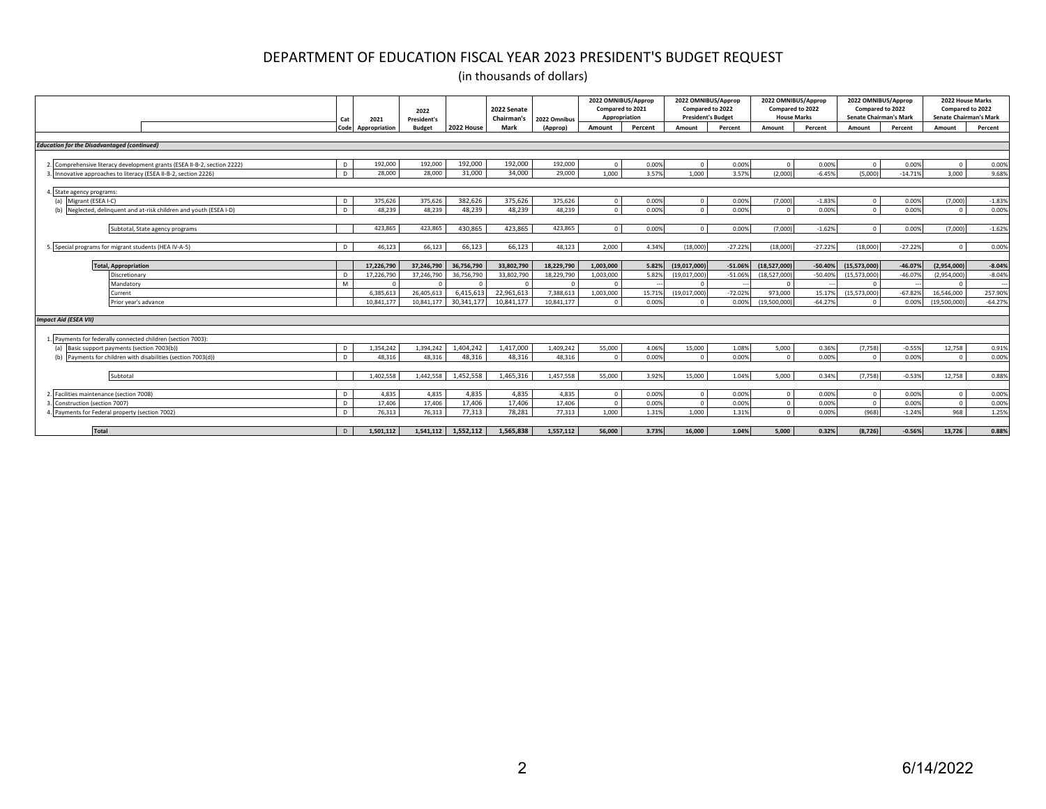|                                                                          | Cat  | 2021          | 2022<br><b>President's</b> |            | 2022 Senate<br><b>Chairman's</b> | 2022 Omnibus | 2022 OMNIBUS/Approp<br>Compared to 2021<br>Appropriation |         | 2022 OMNIBUS/Approp<br>Compared to 2022<br><b>President's Budget</b> |           | 2022 OMNIBUS/Approp<br>Compared to 2022<br><b>House Marks</b> |           | 2022 OMNIBUS/Approp<br>Compared to 2022<br><b>Senate Chairman's Mark</b> |           | 2022 House Marks<br>Compared to 2022<br><b>Senate Chairman's Mark</b> |           |
|--------------------------------------------------------------------------|------|---------------|----------------------------|------------|----------------------------------|--------------|----------------------------------------------------------|---------|----------------------------------------------------------------------|-----------|---------------------------------------------------------------|-----------|--------------------------------------------------------------------------|-----------|-----------------------------------------------------------------------|-----------|
|                                                                          | Code | Appropriation | <b>Budget</b>              | 2022 House | Mark                             | (Approp)     | Amount                                                   | Percent | Amount                                                               | Percent   | Amount                                                        | Percent   | Amount                                                                   | Percent   | Amount                                                                | Percent   |
| <b>Education for the Disadvantaged (continued)</b>                       |      |               |                            |            |                                  |              |                                                          |         |                                                                      |           |                                                               |           |                                                                          |           |                                                                       |           |
|                                                                          |      |               |                            |            |                                  |              |                                                          |         |                                                                      |           |                                                               |           |                                                                          |           |                                                                       |           |
| 2. Comprehensive literacy development grants (ESEA II-B-2, section 2222) |      | 192,000       | 192,000                    | 192,000    | 192,000                          | 192,000      | $\Omega$                                                 | 0.00%   | $\sqrt{ }$                                                           | 0.00%     | $\Omega$                                                      | 0.00%     |                                                                          | 0.00%     | $\sqrt{2}$                                                            | 0.00%     |
| Innovative approaches to literacy (ESEA II-B-2, section 2226)            | D    | 28,000        | 28,000                     | 31,000     | 34,000                           | 29,000       | 1,000                                                    | 3.57%   | 1.000                                                                | 3.57%     | (2.000)                                                       | $-6.45%$  | (5.000)                                                                  | $-14.71%$ | 3,000                                                                 | 9.68%     |
|                                                                          |      |               |                            |            |                                  |              |                                                          |         |                                                                      |           |                                                               |           |                                                                          |           |                                                                       |           |
| 4. State agency programs:                                                |      |               |                            |            |                                  |              |                                                          |         |                                                                      |           |                                                               |           |                                                                          |           |                                                                       |           |
| (a) Migrant (ESEA I-C)                                                   | D    | 375.626       | 375,626                    | 382,626    | 375,626                          | 375,626      | $\Omega$                                                 | 0.00%   | $\sqrt{ }$                                                           | 0.00%     | (7,000)                                                       | $-1.83%$  | $\Omega$                                                                 | 0.00%     | (7,000)                                                               | $-1.83%$  |
| Neglected, delinquent and at-risk children and youth (ESEA I-D)<br>(b)   | D.   | 48.239        | 48.239                     | 48.239     | 48.239                           | 48.239       | $\Omega$                                                 | 0.00%   | $\sqrt{2}$                                                           | 0.00%     | $\sqrt{ }$                                                    | 0.00%     | $\Omega$                                                                 | 0.00%     | $\Omega$                                                              | 0.00%     |
| Subtotal, State agency programs                                          |      | 423.865       | 423,865                    | 430.865    | 423.865                          | 423.865      | $\Omega$                                                 | 0.00%   | $\Omega$                                                             | 0.00%     | (7.000)                                                       | $-1.62%$  | $\bigcap$                                                                | 0.00%     | (7.000)                                                               | $-1.62%$  |
|                                                                          |      |               |                            |            |                                  |              |                                                          |         |                                                                      |           |                                                               |           |                                                                          |           |                                                                       |           |
| . Special programs for migrant students (HEA IV-A-5)                     | D    | 46.123        | 66.123                     | 66.123     | 66.123                           | 48.123       | 2.000                                                    | 4.34%   | (18.000)                                                             | $-27.22%$ | (18.000)                                                      | $-27.22%$ | (18.000)                                                                 | $-27.22%$ | $\Omega$                                                              | 0.00%     |
| <b>Total, Appropriation</b>                                              |      | 17.226.790    | 37,246,790                 | 36,756,790 | 33.802.790                       | 18,229,790   | 1.003.000                                                | 5.82%   | (19,017,000)                                                         | $-51.06%$ | (18,527,000)                                                  | $-50.40%$ | (15, 573, 000)                                                           | $-46.07%$ | (2,954,000)                                                           | $-8.04%$  |
| Discretionary                                                            |      | 17,226,790    | 37,246,790                 | 36,756,790 | 33,802,790                       | 18,229,790   | 1,003,000                                                | 5.82%   | (19,017,000)                                                         | $-51.06%$ | (18,527,000                                                   | $-50.40%$ | (15,573,000                                                              | $-46.07%$ | (2,954,000)                                                           | $-8.04%$  |
| Mandatory                                                                | M    |               |                            |            |                                  |              | $\Omega$                                                 |         | $\sqrt{ }$                                                           |           | $\Omega$                                                      |           |                                                                          |           |                                                                       |           |
| Current                                                                  |      | 6.385.613     | 26,405,613                 | 6,415,613  | 22,961,613                       | 7,388,61     | 1,003,000                                                | 15.71%  | (19,017,000)                                                         | $-72.02%$ | 973,000                                                       | 15.179    | (15,573,000)                                                             | $-67.82%$ | 16,546,000                                                            | 257.90%   |
| Prior year's advance                                                     |      | 10.841.177    | 10,841,17                  | 30,341,177 | 10,841,177                       | 10,841,177   | $\Omega$                                                 | 0.00%   | $\Omega$                                                             | 0.00%     | (19,500,000                                                   | $-64.27%$ |                                                                          | 0.00%     | (19,500,000)                                                          | $-64.27%$ |
|                                                                          |      |               |                            |            |                                  |              |                                                          |         |                                                                      |           |                                                               |           |                                                                          |           |                                                                       |           |
| <b>Impact Aid (ESEA VII)</b>                                             |      |               |                            |            |                                  |              |                                                          |         |                                                                      |           |                                                               |           |                                                                          |           |                                                                       |           |
| . Payments for federally connected children (section 7003):              |      |               |                            |            |                                  |              |                                                          |         |                                                                      |           |                                                               |           |                                                                          |           |                                                                       |           |
| (a) Basic support payments (section 7003(b))                             | D    | 1,354,242     | 1,394,242                  | 1,404,242  | 1,417,000                        | 1,409,242    | 55,000                                                   | 4.06%   | 15,000                                                               | 1.08%     | 5,000                                                         | 0.36%     | (7, 758)                                                                 | $-0.55%$  | 12,758                                                                | 0.91%     |
| (b) Payments for children with disabilities (section 7003(d))            | D.   | 48.316        | 48,316                     | 48.316     | 48,316                           | 48.316       | $\Omega$                                                 | 0.00%   | $\sqrt{2}$                                                           | 0.00%     | $\Omega$                                                      | 0.00%     | $\Omega$                                                                 | 0.00%     | $\Omega$                                                              | 0.00%     |
|                                                                          |      |               |                            |            |                                  |              |                                                          |         |                                                                      |           |                                                               |           |                                                                          |           |                                                                       |           |
| Subtotal                                                                 |      | 1.402.558     | 1.442.558                  | 1.452.558  | 1.465.316                        | 1.457.558    | 55,000                                                   | 3.92%   | 15,000                                                               | 1.04%     | 5,000                                                         | 0.34%     | (7, 758)                                                                 | $-0.53%$  | 12,758                                                                | 0.88%     |
| Facilities maintenance (section 7008)                                    | D.   | 4.835         | 4.835                      | 4,835      | 4,835                            | 4.835        | $\Omega$                                                 | 0.00%   | $\Omega$                                                             | 0.00%     | - 0                                                           | 0.00%     | n                                                                        | 0.00%     |                                                                       | 0.00%     |
| Construction (section 7007)                                              | D.   | 17,406        | 17,406                     | 17,406     | 17,406                           | 17,406       | $\Omega$                                                 | 0.00%   | $\Omega$                                                             | 0.00%     | $\Omega$                                                      | 0.00%     | $\Omega$                                                                 | 0.00%     | $\sim$                                                                | 0.00%     |
|                                                                          |      |               |                            |            |                                  |              |                                                          |         |                                                                      |           |                                                               |           |                                                                          |           |                                                                       |           |
| Payments for Federal property (section 7002)                             | n.   | 76.313        | 76,313                     | 77,313     | 78,281                           | 77,313       | 1.000                                                    | 1.31%   | 1.000                                                                | 1.31%     | $\Omega$                                                      | 0.00%     | (968)                                                                    | $-1.24%$  | 968                                                                   | 1.25%     |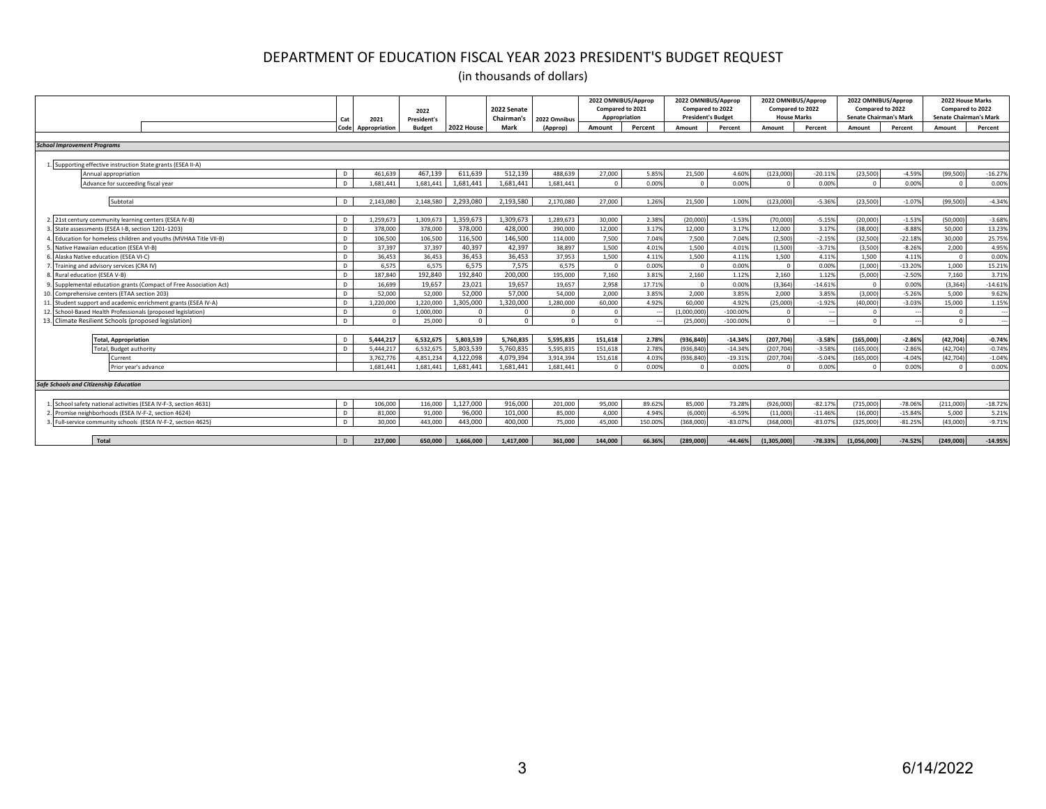| <b>School Improvement Programs</b> |                                                                  | Code         | Appropriation          |                        |                        | Chairman's             | 2022 Omnibus           | Appropriation       | Compared to 2021 | Compared to 2022<br><b>President's Budget</b> |                    | <b>House Marks</b> | Compared to 2022  | <b>Senate Chairman's Mark</b> | Compared to 2022  |           | Compared to 2022<br><b>Senate Chairman's Mark</b> |
|------------------------------------|------------------------------------------------------------------|--------------|------------------------|------------------------|------------------------|------------------------|------------------------|---------------------|------------------|-----------------------------------------------|--------------------|--------------------|-------------------|-------------------------------|-------------------|-----------|---------------------------------------------------|
|                                    |                                                                  |              |                        | <b>Budget</b>          | 2022 House             | Mark                   | (Approp)               | Amount              | Percent          | Amount                                        | Percent            | Amount             | Percent           | Amount                        | Percent           | Amount    | Percent                                           |
|                                    |                                                                  |              |                        |                        |                        |                        |                        |                     |                  |                                               |                    |                    |                   |                               |                   |           |                                                   |
|                                    |                                                                  |              |                        |                        |                        |                        |                        |                     |                  |                                               |                    |                    |                   |                               |                   |           |                                                   |
|                                    | 1. Supporting effective instruction State grants (ESEA II-A)     |              |                        |                        |                        |                        |                        |                     |                  |                                               |                    |                    |                   |                               |                   |           |                                                   |
|                                    | Annual appropriation                                             | D            | 461.639                | 467.139                | 611.639                | 512.139                | 488.639                | 27,000              | 5.85%            | 21.500                                        | 4.60%              | (123.000)          | $-20.11%$         | (23.500)                      | $-4.59%$          | (99.500)  | $-16.27%$                                         |
|                                    | Advance for succeeding fiscal year                               | $\mathsf{D}$ | 1.681.441              | 1.681.441              | 1.681.441              | 1.681.441              | 1.681.441              | $\Omega$            | 0.00%            | $\Omega$                                      | 0.00%              |                    | 0.00%             |                               | 0.00%             |           | 0.00%                                             |
|                                    |                                                                  |              |                        |                        |                        |                        |                        |                     |                  |                                               |                    |                    |                   |                               |                   |           |                                                   |
|                                    | Subtotal                                                         | $\mathsf{D}$ | 2.143.080              | 2.148.580              | 2.293.080              | 2,193,580              | 2.170.080              | 27,000              | 1.26%            | 21.500                                        | 1.00%              | (123.000)          | $-5.36%$          | (23.500)                      | $-1.07%$          | (99.500)  | $-4.34%$                                          |
|                                    |                                                                  |              |                        |                        |                        |                        |                        |                     |                  |                                               |                    |                    |                   |                               |                   |           |                                                   |
|                                    | 2. 21st century community learning centers (ESEA IV-B)           | D            | 1,259,673              | 1,309,673              | 1,359,673              | 1,309,673              | 1,289,673              | 30,000              | 2.38%            | (20,000)                                      | $-1.53%$           | (70,000)           | $-5.15%$          | (20,000)                      | $-1.53%$          | (50,000   | $-3.68%$                                          |
|                                    | State assessments (ESEA I-B, section 1201-1203)                  | D            | 378,000                | 378,000                | 378,000                | 428,000                | 390,000                | 12.000              | 3.17%            | 12,000                                        | 3.17%              | 12.000             | 3.17%             | (38,000)                      | $-8.88%$          | 50,000    | 13.23%                                            |
|                                    | Education for homeless children and vouths (MVHAA Title VII-B)   | D            | 106.500                | 106,500                | 116,500                | 146,500                | 114,000                | 7,500               | 7.04%            | 7,500                                         | 7.04%              | (2,500)            | $-2.15%$          | (32,500)                      | $-22.18%$         | 30,000    | 25.75%                                            |
|                                    | Native Hawaiian education (ESEA VI-B)                            | $\mathsf{D}$ | 37.397                 | 37,397                 | 40.397                 | 42.397                 | 38,897                 | 1.500               | 4.01%            | 1.500                                         | 4.01%              | (1,500)            | $-3.71%$          | (3,500)                       | $-8.26%$          | 2.000     | 4.95%                                             |
|                                    | Alaska Native education (ESEA VI-C)                              | D            | 36.453                 | 36,453                 | 36,453                 | 36.453                 | 37.953                 | 1.500               | 4.11%            | 1.500                                         | 4.11%              | 1,500              | 4.11%             | 1,500                         | 4.11%             | $\sim$    | 0.00%                                             |
|                                    | Training and advisory services (CRA IV)                          | D            | 6.575                  | 6.575                  | 6,575                  | 7.575                  | 6.575                  | $\Omega$            | 0.00%            | $\Omega$                                      | 0.00%              | $\sqrt{2}$         | 0.00%             | (1,000)                       | $-13.20%$         | 1.000     | 15.21%                                            |
|                                    | Rural education (ESEA V-B)                                       | D            | 187.840                | 192.840                | 192.840                | 200.000                | 195,000                | 7.160               | 3.81%            | 2.160                                         | 1.12%              | 2.160              | 1.12%             | (5,000)                       | $-2.50%$          | 7.160     | 3.71%                                             |
|                                    | Supplemental education grants (Compact of Free Association Act)  | D            | 16.699                 | 19,657                 | 23.021                 | 19.657                 | 19.657                 | 2,958               | 17.719           | $\Omega$                                      | 0.00%              | (3, 364)           | $-14.619$         | $\Omega$                      | 0.00%             | (3.364)   | $-14.619$                                         |
|                                    | 10. Comprehensive centers (ETAA section 203)                     | D            | 52,000                 | 52,000                 | 52,000                 | 57,000                 | 54,000                 | 2.000               | 3.85%            | 2.000                                         | 3.85%              | 2,000              | 3.85%             | (3.000)                       | $-5.26%$          | 5.000     | 9.62%                                             |
|                                    | 11. Student support and academic enrichment grants (ESEA IV-A)   | D            | 1.220.000              | 1.220.000              | 1.305.000              | 1.320.000              | 1.280.000              | 60,000              | 4.929            | 60,000                                        | 4.92%              | (25.000)           | $-1.92%$          | (40.000)                      | $-3.03%$          | 15,000    | 1.15%                                             |
|                                    | 12. School-Based Health Professionals (proposed legislation)     | D            |                        | 1.000.000              | $\Omega$               |                        |                        | $\Omega$            |                  | (1.000.000                                    | $-100.00%$         |                    |                   |                               |                   |           |                                                   |
|                                    | 13. Climate Resilient Schools (proposed legislation)             | D            | $\Omega$               | 25,000                 | $\Omega$               | $\Omega$               | $\Omega$               | $\Omega$            |                  | (25.000)                                      | $-100.009$         | $\Omega$           |                   | $\bigcap$                     |                   | $\Omega$  |                                                   |
|                                    |                                                                  |              |                        |                        |                        |                        |                        |                     |                  |                                               |                    |                    |                   |                               |                   |           |                                                   |
|                                    | <b>Total, Appropriation</b>                                      | D.           | 5.444.217              | 6.532.675              | 5.803.539              | 5.760.835              | 5.595.835              | 151.618             | 2.78%            | (936.840)                                     | $-14.34%$          | (207.704)          | $-3.58%$          | (165,000)                     | $-2.86%$          | (42.704)  | $-0.74%$                                          |
|                                    | <b>Total, Budget authority</b>                                   | $\mathsf{D}$ | 5.444.217              | 6.532.675<br>4.851.234 | 5.803.539<br>4,122,098 | 5.760.835<br>4.079.394 | 5.595.835<br>3,914,394 | 151.618             | 2.789            | (936.840)                                     | $-14.34%$          | (207, 704)         | $-3.58%$          | (165.000)                     | $-2.86%$          | (42.704)  | $-0.74%$                                          |
|                                    | urrent:<br>rior vear's advance                                   |              | 3,762,776<br>1.681.441 | 1.681.441              | 1.681.441              | 1.681.441              | 1.681.441              | 151,618<br>$\Omega$ | 4.039<br>0.00%   | (936, 840)<br>$\sqrt{2}$                      | $-19.319$<br>0.00% | (207, 704)         | $-5.04%$<br>0.00% | (165,000)<br>$\bigcap$        | $-4.04%$<br>0.00% | (42, 704) | $-1.04%$<br>0.00%                                 |
|                                    |                                                                  |              |                        |                        |                        |                        |                        |                     |                  |                                               |                    |                    |                   |                               |                   |           |                                                   |
|                                    | <b>Safe Schools and Citizenship Education</b>                    |              |                        |                        |                        |                        |                        |                     |                  |                                               |                    |                    |                   |                               |                   |           |                                                   |
|                                    |                                                                  |              |                        |                        |                        |                        |                        |                     |                  |                                               |                    |                    |                   |                               |                   |           |                                                   |
|                                    | 1. School safety national activities (ESEA IV-F-3, section 4631) | D            | 106,000                | 116,000                | 1,127,000              | 916.000                | 201.000                | 95,000              | 89.62%           | 85,000                                        | 73.28%             | (926,000)          | $-82.17%$         | (715,000)                     | $-78.06%$         | (211.000) | $-18.72%$                                         |
|                                    | 2. Promise neighborhoods (ESEA IV-F-2, section 4624)             | D            | 81.000                 | 91,000                 | 96,000                 | 101,000                | 85,000                 | 4,000               | 4.94%            | (6,000)                                       | $-6.59%$           | (11,000)           | $-11.46%$         | (16,000)                      | $-15.84%$         | 5,000     | 5.21%                                             |
|                                    | Full-service community schools (ESEA IV-F-2, section 4625)       | D            | 30,000                 | 443,000                | 443.000                | 400.000                | 75,000                 | 45,000              | 150,009          | (368,000)                                     | $-83.07%$          | (368,000           | $-83.07%$         | (325.000)                     | $-81.25%$         | (43,000)  | $-9.71%$                                          |
|                                    |                                                                  |              |                        |                        |                        |                        |                        |                     |                  |                                               |                    |                    |                   |                               |                   |           |                                                   |
|                                    | Total                                                            | $\mathsf{D}$ | 217.000                | 650,000                | 1.666.000              | 1.417.000              | 361.000                | 144.000             | 66.36%           | (289.000)                                     | $-44.46%$          | (1.305.000         | $-78.33%$         | (1.056.000                    | $-74.52%$         | (249.000) | $-14.95%$                                         |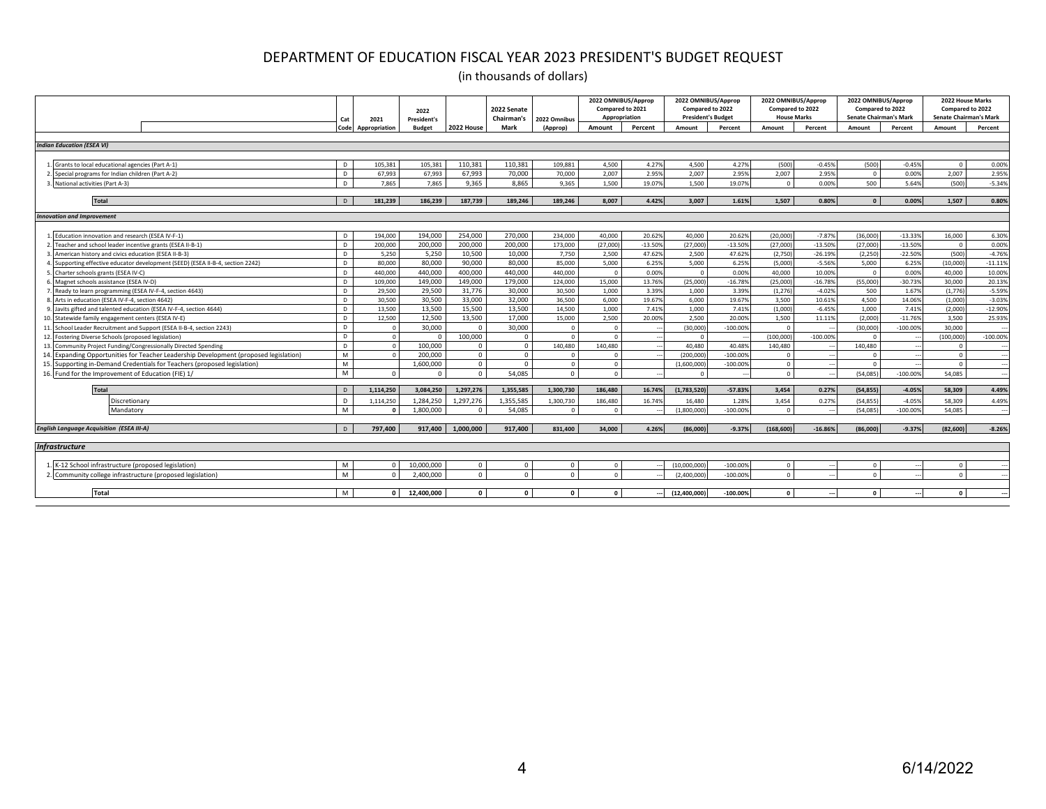|                                                                                   | Cat          | 2021          | 2022<br><b>President's</b> |              | 2022 Senate<br>Chairman's | 2022 Omnibus | 2022 OMNIBUS/Approp<br>Compared to 2021<br>Appropriation |           | 2022 OMNIBUS/Approp<br>Compared to 2022<br><b>President's Budget</b> |             | 2022 OMNIBUS/Approp<br>Compared to 2022<br><b>House Marks</b> |            | 2022 OMNIBUS/Approp<br>Compared to 2022<br><b>Senate Chairman's Mark</b> |            | 2022 House Marks<br>Compared to 2022<br><b>Senate Chairman's Mark</b> |            |
|-----------------------------------------------------------------------------------|--------------|---------------|----------------------------|--------------|---------------------------|--------------|----------------------------------------------------------|-----------|----------------------------------------------------------------------|-------------|---------------------------------------------------------------|------------|--------------------------------------------------------------------------|------------|-----------------------------------------------------------------------|------------|
|                                                                                   | Code         | Appropriation | <b>Budget</b>              | 2022 House   | <b>Mark</b>               | (Approp)     | Amount                                                   | Percent   | Amount                                                               | Percent     | Amount                                                        | Percent    | Amount                                                                   | Percent    | Amount                                                                | Percent    |
| <b>Indian Education (ESEA VI)</b>                                                 |              |               |                            |              |                           |              |                                                          |           |                                                                      |             |                                                               |            |                                                                          |            |                                                                       |            |
|                                                                                   |              |               |                            |              |                           |              |                                                          |           |                                                                      |             |                                                               |            |                                                                          |            |                                                                       |            |
|                                                                                   |              |               |                            |              |                           |              |                                                          |           |                                                                      | 4.27%       |                                                               |            |                                                                          |            | $\Omega$                                                              |            |
| Grants to local educational agencies (Part A-1)                                   | D            | 105,381       | 105,381                    | 110,381      | 110,381                   | 109,881      | 4,500                                                    | 4.27%     | 4,500                                                                |             | (500)                                                         | $-0.45%$   | (500)                                                                    | $-0.45%$   |                                                                       | 0.00%      |
| Special programs for Indian children (Part A-2)                                   | D            | 67.993        | 67,993                     | 67.993       | 70,000                    | 70.000       | 2.007                                                    | 2.95%     | 2.007                                                                | 2.95%       | 2.007                                                         | 2.95%      | $\Omega$                                                                 | 0.00%      | 2.007                                                                 | 2.95%      |
| National activities (Part A-3)                                                    | D.           | 7.865         | 7.865                      | 9.365        | 8.865                     | 9.365        | 1.500                                                    | 19.07%    | 1.500                                                                | 19.07%      | $\Omega$                                                      | 0.00%      | 500                                                                      | 5.64%      | (500)                                                                 | $-5.34%$   |
| Total                                                                             | D            | 181.239       | 186.239                    | 187,739      | 189.246                   | 189.246      | 8.007                                                    | 4.42%     | 3.007                                                                | 1.61%       | 1.507                                                         | 0.80%      | $\Omega$                                                                 | 0.00%      | 1.507                                                                 | 0.80%      |
| <b>Innovation and Improvement</b>                                                 |              |               |                            |              |                           |              |                                                          |           |                                                                      |             |                                                               |            |                                                                          |            |                                                                       |            |
|                                                                                   |              |               |                            |              |                           |              |                                                          |           |                                                                      |             |                                                               |            |                                                                          |            |                                                                       |            |
| Education innovation and research (ESEA IV-F-1)                                   | D            | 194.000       | 194.000                    | 254,000      | 270,000                   | 234.000      | 40,000                                                   | 20.62%    | 40,000                                                               | 20.62%      | (20,000)                                                      | $-7.87%$   | (36,000)                                                                 | $-13.33%$  | 16,000                                                                | 6.30%      |
| Teacher and school leader incentive grants (ESEA II-B-1)                          | D            | 200,000       | 200,000                    | 200,000      | 200,000                   | 173,000      | (27.000)                                                 | $-13.50%$ | (27.000)                                                             | $-13.50%$   | (27.000)                                                      | $-13.50%$  | (27.000)                                                                 | $-13.50%$  | $\Omega$                                                              | 0.00%      |
| American history and civics education (ESEA II-B-3)                               | D            | 5.250         | 5,250                      | 10,500       | 10,000                    | 7,750        | 2,500                                                    | 47.62%    | 2,500                                                                | 47.62%      | (2,750)                                                       | $-26.19%$  | (2, 250)                                                                 | $-22.50%$  | (500)                                                                 | $-4.76%$   |
| Supporting effective educator development (SEED) (ESEA II-B-4, section 2242)      | D            | 80,000        | 80,000                     | 90,000       | 80,000                    | 85,000       | 5,000                                                    | 6.25%     | 5,000                                                                | 6.25%       | (5.000)                                                       | $-5.56%$   | 5,000                                                                    | 6.25%      | (10.000)                                                              | $-11.11%$  |
| Charter schools grants (ESEA IV-C)                                                | D            | 440.000       | 440.000                    | 400.000      | 440.000                   | 440.000      | $\overline{0}$                                           | 0.00%     | $\Omega$                                                             | 0.00%       | 40,000                                                        | 10.00%     |                                                                          | 0.00%      | 40,000                                                                | 10.00%     |
| Magnet schools assistance (ESEA IV-D)                                             | D            | 109,000       | 149.000                    | 149.000      | 179,000                   | 124,000      | 15,000                                                   | 13.76%    | (25.000)                                                             | $-16.78%$   | (25.000)                                                      | $-16.78%$  | (55,000                                                                  | $-30.73%$  | 30,000                                                                | 20.13%     |
| Ready to learn programming (ESEA IV-F-4, section 4643)                            | D            | 29,500        | 29,500                     | 31,776       | 30,000                    | 30,500       | 1,000                                                    | 3.39%     | 1,000                                                                | 3.39%       | (1, 276)                                                      | $-4.02%$   | 500                                                                      | 1.67%      | (1,776)                                                               | $-5.59%$   |
| Arts in education (ESEA IV-F-4, section 4642)                                     | D            | 30,500        | 30,500                     | 33,000       | 32,000                    | 36,500       | 6.000                                                    | 19.67%    | 6.000                                                                | 19.67%      | 3.500                                                         | 10.61%     | 4,500                                                                    | 14.06%     | (1,000)                                                               | $-3.03%$   |
| Javits gifted and talented education (ESEA IV-F-4, section 4644)                  | D            | 13,500        | 13,500                     | 15,500       | 13.500                    | 14.500       | 1,000                                                    | 7.41%     | 1,000                                                                | 7.41%       | (1,000)                                                       | $-6.45%$   | 1,000                                                                    | 7.41%      | (2.000)                                                               | $-12.90%$  |
| Statewide family engagement centers (ESEA IV-E)                                   | D            | 12,500        | 12.500                     | 13,500       | 17,000                    | 15.000       | 2.500                                                    | 20,00%    | 2.500                                                                | 20,00%      | 1.500                                                         | 11.11%     | (2,000)                                                                  | $-11.76%$  | 3.500                                                                 | 25.93%     |
| School Leader Recruitment and Support (ESEA II-B-4, section 2243)                 | D            | $\sim$        | 30,000                     | $\Omega$     | 30,000                    | $\Omega$     | $\overline{0}$                                           |           | (30.000)                                                             | $-100.00%$  |                                                               |            | (30.000)                                                                 | $-100.00%$ | 30,000                                                                |            |
| Fostering Diverse Schools (proposed legislation)                                  | D            | $\Omega$      | $\Omega$                   | 100,000      | $\sqrt{ }$                |              | $\Omega$                                                 |           | $\sqrt{2}$                                                           |             | (100.000                                                      | $-100.00%$ |                                                                          |            | (100.000                                                              | $-100.00%$ |
| 13. Community Project Funding/Congressionally Directed Spending                   | $\mathsf{D}$ | $\Omega$      | 100,000                    | $\mathbf 0$  | $\Omega$                  | 140.480      | 140.480                                                  |           | 40,480                                                               | 40.48%      | 140,480                                                       |            | 140.480                                                                  |            | $\sqrt{2}$                                                            |            |
| Expanding Opportunities for Teacher Leadership Development (proposed legislation) | M            | $\sqrt{2}$    | 200,000                    | $\Omega$     | $\Omega$                  |              | $\Omega$                                                 |           | (200, 000)                                                           | $-100.00%$  |                                                               |            |                                                                          |            | $\Omega$                                                              |            |
| 15. Supporting in-Demand Credentials for Teachers (proposed legislation)          | M            |               | 1,600,000                  | $\mathbf{0}$ | $\sqrt{ }$                |              | $\Omega$                                                 |           | (1,600,000)                                                          | $-100.00%$  | $\sqrt{ }$                                                    |            |                                                                          |            | $\Omega$                                                              |            |
| 16. Fund for the Improvement of Education (FIE) 1/                                | M            | $\sqrt{ }$    | $\Omega$                   | $\Omega$     | 54.085                    | $\Omega$     | $\Omega$                                                 |           | $\Omega$                                                             |             | $\Omega$                                                      |            | (54.085                                                                  | $-100.00%$ | 54.085                                                                |            |
|                                                                                   |              |               |                            |              |                           |              |                                                          |           |                                                                      |             |                                                               |            |                                                                          |            |                                                                       |            |
| <b>Total</b>                                                                      | D            | 1,114,250     | 3,084,250                  | 1,297,276    | 1,355,585                 | 1,300,730    | 186,480                                                  | 16.74%    | (1,783,520)                                                          | $-57.83%$   | 3,454                                                         | 0.27%      | (54, 855)                                                                | $-4.05%$   | 58,309                                                                | 4.49%      |
| Discretionary                                                                     | D            | 1.114.250     | 1.284.250                  | 1.297.276    | 1.355.585                 | 1.300.730    | 186,480                                                  | 16.74%    | 16,480                                                               | 1.28%       | 3.454                                                         | 0.27%      | (54.855                                                                  | $-4.05%$   | 58,309                                                                | 4.49%      |
| Mandatory                                                                         | M            |               | 1.800.000                  | $\Omega$     | 54.085                    |              | $\Omega$                                                 |           | (1.800.000                                                           | $-100.00%$  |                                                               |            | (54.085                                                                  | $-100.00%$ | 54.085                                                                |            |
|                                                                                   |              |               |                            |              |                           |              |                                                          |           |                                                                      |             |                                                               |            |                                                                          |            |                                                                       |            |
| <b>English Language Acquisition (ESEA III-A)</b>                                  | D.           | 797.400       | 917.400                    | 1.000.000    | 917.400                   | 831.400      | 34.000                                                   | 4.26%     | (86,000)                                                             | $-9.37%$    | (168, 600)                                                    | $-16.86%$  | (86,000)                                                                 | $-9.37%$   | (82, 600)                                                             | $-8.26%$   |
|                                                                                   |              |               |                            |              |                           |              |                                                          |           |                                                                      |             |                                                               |            |                                                                          |            |                                                                       |            |
| <b>Infrastructure</b>                                                             |              |               |                            |              |                           |              |                                                          |           |                                                                      |             |                                                               |            |                                                                          |            |                                                                       |            |
| K-12 School infrastructure (proposed legislation)                                 | M            | $\sqrt{ }$    | 10.000.000                 | $^{\circ}$   | $\Omega$                  | $\Omega$     | $\Omega$                                                 |           | (10.000.000                                                          | $-100.009$  | $\Omega$                                                      |            | $\Omega$                                                                 |            | $\Omega$                                                              |            |
| Community college infrastructure (proposed legislation)                           | M            | $\sqrt{ }$    | 2.400.000                  | $\Omega$     |                           |              | $\Omega$                                                 |           | (2.400.000                                                           | $-100.00%$  | $\sqrt{ }$                                                    |            |                                                                          |            |                                                                       |            |
|                                                                                   |              |               |                            |              |                           |              |                                                          |           |                                                                      |             |                                                               |            |                                                                          |            |                                                                       |            |
| <b>Total</b>                                                                      | M            |               | 12,400,000                 | $\Omega$     |                           | $\sqrt{2}$   | $\Omega$                                                 |           | (12, 400, 000)                                                       | $-100.00\%$ |                                                               |            |                                                                          |            |                                                                       |            |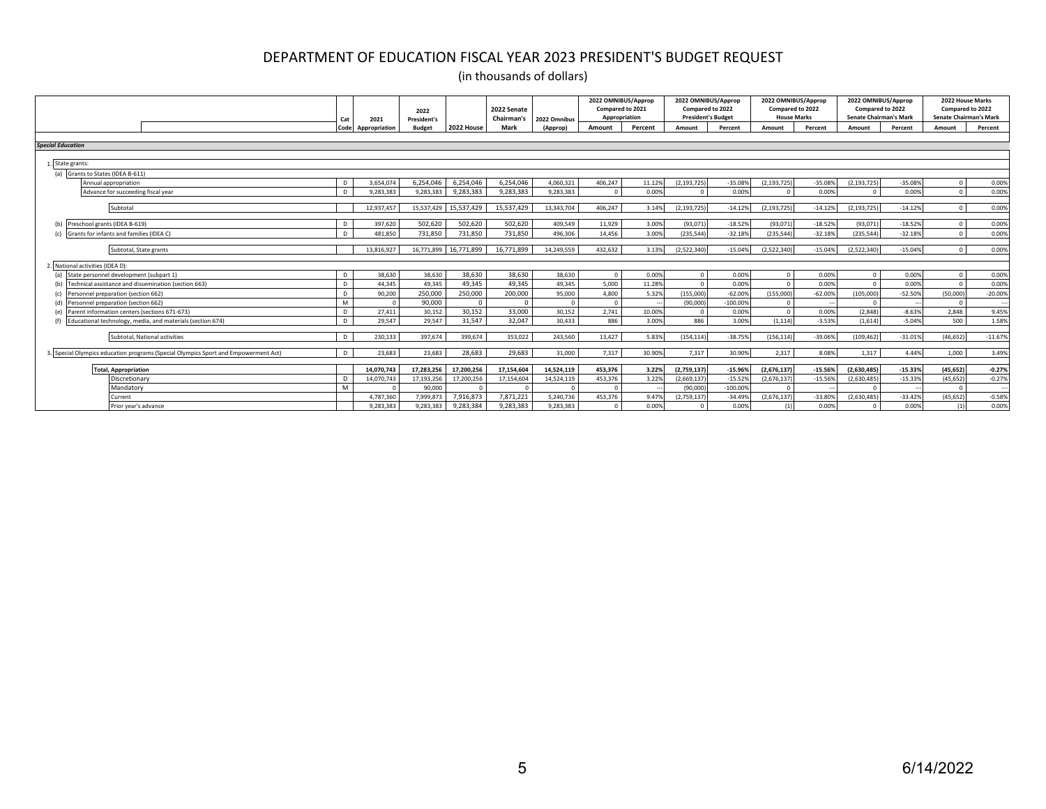|                                                                                     | Cat     | 2021                   | 2022<br>President's |            | 2022 Senate<br>Chairman's | 2022 Omnibus           | 2022 OMNIBUS/Approp<br>Compared to 2021<br>Appropriation |                 | 2022 OMNIBUS/Approp<br>Compared to 2022<br><b>President's Budget</b> |                    | Compared to 2022 | 2022 OMNIBUS/Approp<br><b>House Marks</b> | 2022 OMNIBUS/Approp<br>Compared to 2022<br><b>Senate Chairman's Mark</b> |                    | Compared to 2022<br><b>Senate Chairman's Mark</b> | 2022 House Marks |
|-------------------------------------------------------------------------------------|---------|------------------------|---------------------|------------|---------------------------|------------------------|----------------------------------------------------------|-----------------|----------------------------------------------------------------------|--------------------|------------------|-------------------------------------------|--------------------------------------------------------------------------|--------------------|---------------------------------------------------|------------------|
|                                                                                     | Code    | Appropriation          | <b>Budget</b>       | 2022 House | Mark                      | (Approp)               | Amount                                                   | Percent         | Amount                                                               | Percent            | Amount           | Percent                                   | Amount                                                                   | Percent            | Amount                                            | Percent          |
|                                                                                     |         |                        |                     |            |                           |                        |                                                          |                 |                                                                      |                    |                  |                                           |                                                                          |                    |                                                   |                  |
| <b>Special Education</b>                                                            |         |                        |                     |            |                           |                        |                                                          |                 |                                                                      |                    |                  |                                           |                                                                          |                    |                                                   |                  |
|                                                                                     |         |                        |                     |            |                           |                        |                                                          |                 |                                                                      |                    |                  |                                           |                                                                          |                    |                                                   |                  |
| State grants:                                                                       |         |                        |                     |            |                           |                        |                                                          |                 |                                                                      |                    |                  |                                           |                                                                          |                    |                                                   |                  |
| (a) Grants to States (IDEA B-611)                                                   |         |                        | 6.254.046           | 6.254.046  | 6.254.046                 |                        |                                                          |                 |                                                                      |                    |                  |                                           |                                                                          |                    |                                                   |                  |
| Annual appropriation<br>Advance for succeeding fiscal year                          | D<br>D. | 3.654.074<br>9.283.383 | 9.283.383           | 9.283.383  | 9.283.383                 | 4.060.321<br>9.283.383 | 406.247<br>$\Omega$                                      | 11.12%<br>0.00% | (2.193.725)<br>$\sqrt{ }$                                            | $-35.08%$<br>0.00% | (2.193.725)      | $-35.08%$<br>0.00%                        | (2, 193, 725)<br>$\Omega$                                                | $-35.08%$<br>0.00% |                                                   | 0.00%<br>0.00%   |
|                                                                                     |         |                        |                     |            |                           |                        |                                                          |                 |                                                                      |                    |                  |                                           |                                                                          |                    |                                                   |                  |
| Subtotal                                                                            |         | 12.937.457             | 15.537.429          | 15.537.429 | 15.537.429                | 13.343.704             | 406.247                                                  | 3.14%           | (2.193.725)                                                          | $-14.12%$          | (2.193.725)      | $-14.12%$                                 | (2.193.725)                                                              | $-14.12%$          |                                                   | 0.00%            |
|                                                                                     |         |                        |                     |            |                           |                        |                                                          |                 |                                                                      |                    |                  |                                           |                                                                          |                    |                                                   |                  |
| Preschool grants (IDEA B-619)                                                       | D       | 397,620                | 502,620             | 502,620    | 502,620                   | 409,549                | 11,929                                                   | 3.00%           | (93, 071)                                                            | $-18.52%$          | (93, 071)        | $-18.52%$                                 | (93, 071)                                                                | $-18.52%$          |                                                   | 0.00%            |
| Grants for infants and families (IDEA C)                                            | D.      | 481.850                | 731.850             | 731.850    | 731.850                   | 496.306                | 14,456                                                   | 3.00%           | (235, 544)                                                           | $-32.18%$          | (235.544)        | $-32.18%$                                 | (235, 544)                                                               | $-32.18%$          |                                                   | 0.00%            |
| Subtotal, State grants                                                              |         | 13.816.927             | 16,771,899          | 16.771.899 | 16.771.899                | 14.249.559             | 432,632                                                  | 3.13%           | (2,522,340)                                                          | $-15.04%$          | (2,522,340)      | $-15.04%$                                 | (2,522,340)                                                              | $-15.04%$          |                                                   | 0.00%            |
|                                                                                     |         |                        |                     |            |                           |                        |                                                          |                 |                                                                      |                    |                  |                                           |                                                                          |                    |                                                   |                  |
| National activities (IDEA D):                                                       |         |                        |                     |            |                           |                        |                                                          |                 |                                                                      |                    |                  |                                           |                                                                          |                    |                                                   |                  |
| (a) State personnel development (subpart 1)                                         | D       | 38.630                 | 38,630              | 38.630     | 38.630                    | 38.630                 | $\Omega$                                                 | 0.00%           | $\sqrt{ }$                                                           | 0.00%              |                  | 0.00%                                     | $\Omega$                                                                 | 0.00%              |                                                   | 0.00%            |
| Technical assistance and dissemination (section 663)<br>(b)                         | D       | 44.345                 | 49.345              | 49,345     | 49.345                    | 49.345                 | 5,000                                                    | 11.28%          |                                                                      | 0.00%              |                  | 0.00%                                     | $\Omega$                                                                 | 0.00%              |                                                   | 0.00%            |
| Personnel preparation (section 662)                                                 | D       | 90.200                 | 250,000             | 250,000    | 200,000                   | 95,000                 | 4.800                                                    | 5.32%           | (155.000                                                             | $-62.00%$          | (155.000)        | $-62.00%$                                 | (105,000)                                                                | $-52.50%$          | (50.000                                           | $-20.00%$        |
| Personnel preparation (section 662)                                                 | M       | $\Omega$               | 90.000              | $\Omega$   | $\sqrt{ }$                |                        | $\overline{0}$                                           |                 | (90.000)                                                             | $-100.00%$         |                  |                                           |                                                                          |                    |                                                   |                  |
| Parent information centers (sections 671-673)                                       | D.      | 27,411                 | 30.152              | 30.152     | 33,000                    | 30.152                 | 2.741                                                    | 10.00%          |                                                                      | 0.00%              |                  | 0.00%                                     | (2,848)                                                                  | $-8.63%$           | 2.848                                             | 9.45%            |
| Educational technology, media, and materials (section 674)                          | D       | 29.547                 | 29.547              | 31.547     | 32.047                    | 30.433                 | 886                                                      | 3.00%           | 886                                                                  | 3.00%              | (1.114)          | $-3.53%$                                  | (1.614)                                                                  | $-5.04%$           | 500                                               | 1.58%            |
| Subtotal, National activities                                                       | D       | 230.133                | 397.674             | 399.674    | 353.022                   | 243.560                | 13.427                                                   | 5.83%           | (154.114)                                                            | $-38.75%$          | (156.114)        | $-39.06%$                                 | (109.462)                                                                | $-31.01%$          | (46.652)                                          | $-11.67%$        |
|                                                                                     |         |                        |                     |            |                           |                        |                                                          |                 |                                                                      |                    |                  |                                           |                                                                          |                    |                                                   |                  |
| 3. Special Olympics education programs (Special Olympics Sport and Empowerment Act) | D       | 23.683                 | 23.683              | 28.683     | 29.683                    | 31,000                 | 7,317                                                    | 30.90%          | 7.317                                                                | 30.90%             | 2.317            | 8.08%                                     | 1,317                                                                    | 4.44%              | 1.000                                             | 3.49%            |
| <b>Total, Appropriation</b>                                                         |         | 14,070,743             | 17,283,256          | 17,200,256 | 17,154,604                | 14,524,119             | 453,376                                                  | 3.22%           | (2,759,137)                                                          | $-15.96%$          | (2,676,137)      | $-15.56%$                                 | (2,630,485)                                                              | $-15.33%$          | (45, 652)                                         | $-0.27%$         |
| Discretionary                                                                       | D       | 14.070.743             | 17,193,256          | 17,200,256 | 17.154.604                | 14.524.119             | 453.376                                                  | 3.22%           | (2,669,137)                                                          | $-15.52%$          | (2.676.137)      | $-15.56%$                                 | (2.630.485)                                                              | $-15.33%$          | (45.652)                                          | $-0.27%$         |
| Mandatory                                                                           | M       |                        | 90,000              |            |                           |                        | $\sqrt{2}$                                               |                 | (90.000)                                                             | $-100.00%$         |                  |                                           |                                                                          |                    |                                                   |                  |
| Current                                                                             |         | 4.787.360              | 7.999.873           | 7.916.873  | 7.871.221                 | 5.240.736              | 453.376                                                  | 9.47%           | (2,759,137)                                                          | $-34.49%$          | (2.676.137)      | $-33.80%$                                 | (2,630,485)                                                              | $-33.42%$          | (45.652)                                          | $-0.58%$         |
| Prior year's advance                                                                |         | 9,283,383              | 9,283,383           | 9,283,384  | 9,283,383                 | 9,283,383              | $\Omega$                                                 | 0.00%           | $\sqrt{2}$                                                           | 0.00%              |                  | 0.00%                                     |                                                                          | 0.00%              |                                                   | 0.00%            |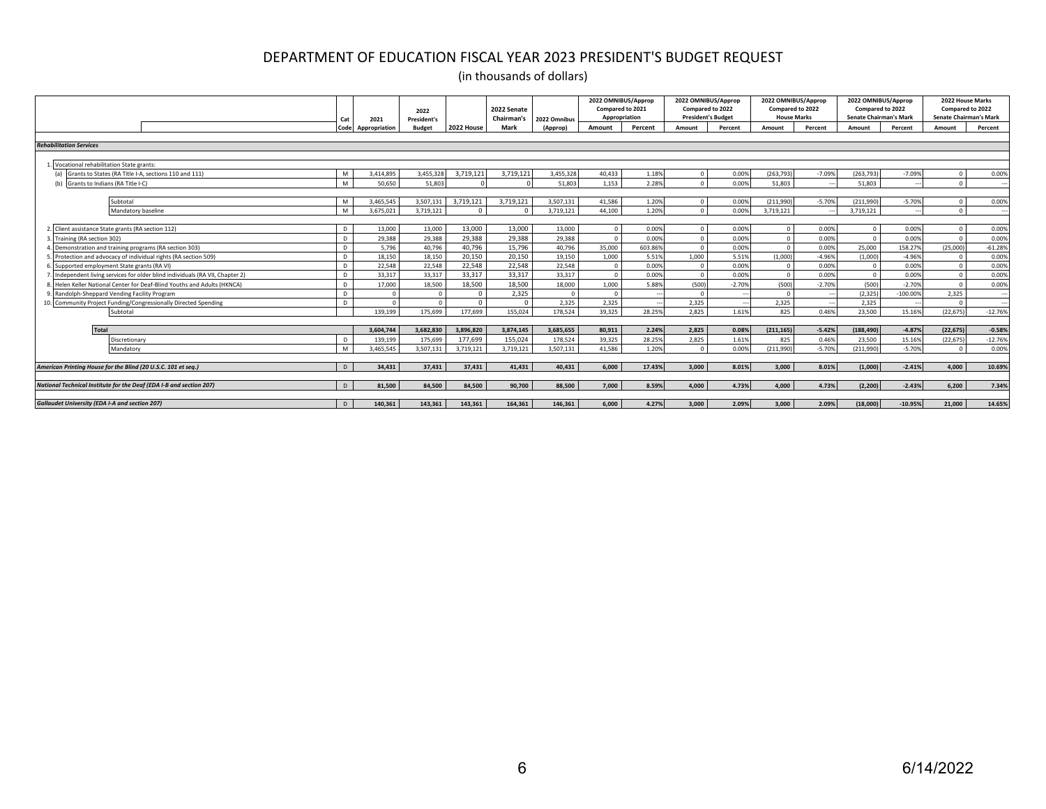|                                                                             | Cat          | 2021               | 2022<br><b>President's</b> |                  | 2022 Senate<br>Chairman's | 2022 Omnibus | 2022 OMNIBUS/Approp<br>Compared to 2021<br>Appropriation |         | 2022 OMNIBUS/Approp<br>Compared to 2022<br><b>President's Budget</b> |                   |              | 2022 OMNIBUS/Approp<br>Compared to 2022<br><b>House Marks</b> | 2022 OMNIBUS/Approp<br>Compared to 2022<br><b>Senate Chairman's Mark</b> |            |            | 2022 House Marks<br>Compared to 2022<br><b>Senate Chairman's Mark</b> |
|-----------------------------------------------------------------------------|--------------|--------------------|----------------------------|------------------|---------------------------|--------------|----------------------------------------------------------|---------|----------------------------------------------------------------------|-------------------|--------------|---------------------------------------------------------------|--------------------------------------------------------------------------|------------|------------|-----------------------------------------------------------------------|
|                                                                             |              | Code Appropriation | <b>Budget</b>              | 2022 House       | Mark                      | (Approp)     | Amount                                                   | Percent | Amount                                                               | Percent           | Amount       | Percent                                                       | Amount                                                                   | Percent    | Amount     | Percent                                                               |
|                                                                             |              |                    |                            |                  |                           |              |                                                          |         |                                                                      |                   |              |                                                               |                                                                          |            |            |                                                                       |
| <b>Rehabilitation Services</b>                                              |              |                    |                            |                  |                           |              |                                                          |         |                                                                      |                   |              |                                                               |                                                                          |            |            |                                                                       |
|                                                                             |              |                    |                            |                  |                           |              |                                                          |         |                                                                      |                   |              |                                                               |                                                                          |            |            |                                                                       |
| Vocational rehabilitation State grants:                                     |              |                    |                            |                  |                           |              |                                                          |         |                                                                      |                   |              |                                                               |                                                                          |            |            |                                                                       |
| Grants to States (RA Title I-A, sections 110 and 111)<br>(a)                | M            | 3.414.895          | 3.455.328                  | 3,719,121        | 3,719,121                 | 3.455.328    | 40,433                                                   | 1.18%   |                                                                      | 0.00%             | (263.793)    | $-7.09%$                                                      | (263, 793)                                                               | $-7.09%$   |            | 0.00%                                                                 |
| (b) Grants to Indians (RA Title I-C)                                        | M            | 50.650             | 51.803                     |                  |                           | 51.803       | 1.153                                                    | 2.28%   |                                                                      | 0.00%             | 51.803       |                                                               | 51,803                                                                   |            |            |                                                                       |
|                                                                             |              |                    |                            |                  |                           |              |                                                          |         |                                                                      |                   |              |                                                               |                                                                          |            |            |                                                                       |
| Subtotal                                                                    | M            | 3.465.545          | 3.507.131                  | 3,719,121        | 3.719.121                 | 3,507,131    | 41.586                                                   | 1.20%   |                                                                      | 0.00%             | (211.990     | $-5.70%$                                                      | (211,990)                                                                | $-5.70%$   |            | 0.00%                                                                 |
| Mandatory baseline                                                          | M            | 3,675,021          | 3,719,121                  | $\sqrt{2}$       |                           | 3,719,121    | 44,100                                                   | 1.20%   |                                                                      | 0.00%             | 3,719,121    |                                                               | 3,719,121                                                                |            | $\Omega$   |                                                                       |
|                                                                             |              |                    |                            | 13,000           | 13,000                    |              | $\sqrt{ }$                                               |         |                                                                      |                   | $\Omega$     |                                                               |                                                                          | 0.00%      | $\Omega$   |                                                                       |
| Client assistance State grants (RA section 112)                             | D            | 13,000             | 13,000                     |                  |                           | 13,000       | $\sqrt{2}$                                               | 0.00%   |                                                                      | 0.00%             |              | 0.00%                                                         | $\Omega$                                                                 | 0.00%      | $\sqrt{2}$ | 0.00%                                                                 |
| Training (RA section 302)                                                   | D            | 29,388             | 29,388                     | 29,388           | 29,388                    | 29,388       |                                                          | 0.00%   |                                                                      | 0.00%             |              | 0.00%                                                         |                                                                          |            |            | 0.00%                                                                 |
| Demonstration and training programs (RA section 303)                        | D.           | 5,796              | 40,796                     | 40,796<br>20.150 | 15,796<br>20.150          | 40,796       | 35,000                                                   | 603.86% | 1.000                                                                | 0.00%             |              | 0.00%                                                         | 25,000                                                                   | 158.27%    | (25,000)   | $-61.28%$                                                             |
| . Protection and advocacy of individual rights (RA section 509)             | D            | 18.150             | 18.150                     |                  |                           | 19.150       | 1.000                                                    | 5.51%   |                                                                      | 5.51%             | (1,000)      | $-4.96%$                                                      | (1.000)                                                                  | $-4.96%$   |            | 0.00%                                                                 |
| Supported employment State grants (RA VI)                                   | D            | 22,548             | 22,548                     | 22,548<br>33.317 | 22,548                    | 22,548       |                                                          | 0.00%   |                                                                      | 0.00%             |              | 0.00%                                                         |                                                                          | 0.00%      |            | 0.00%                                                                 |
| Independent living services for older blind individuals (RA VII, Chapter 2) | D            | 33.317             | 33.317                     |                  | 33.317                    | 33.317       | $\sqrt{ }$                                               | 0.00%   |                                                                      | 0.00%             |              | 0.00%                                                         |                                                                          | 0.00%      |            | 0.00%                                                                 |
| Helen Keller National Center for Deaf-Blind Youths and Adults (HKNCA)       | D            | 17,000             | 18,500                     | 18,500           | 18.500                    | 18,000       | 1.000<br>$\sqrt{ }$                                      | 5.88%   | (500)                                                                | $-2.70%$          | (500)        | $-2.70%$                                                      | (500)                                                                    | $-2.70%$   | $\Omega$   | 0.00%                                                                 |
| Randolph-Sheppard Vending Facility Program                                  | D.           |                    |                            |                  | 2,325                     |              |                                                          |         |                                                                      |                   |              |                                                               | (2, 325)                                                                 | $-100.00%$ | 2,325      |                                                                       |
| ). Community Project Funding/Congressionally Directed Spending              | $\mathsf{D}$ | 139,199            | 175.699                    |                  | 155.024                   | 2.325        | 2.325                                                    |         | 2.325<br>2.825                                                       | <b>.</b><br>1.61% | 2.325<br>825 | 0.46%                                                         | 2.325                                                                    | 15.16%     |            |                                                                       |
| Subtotal                                                                    |              |                    |                            | 177,699          |                           | 178,524      | 39,325                                                   | 28.25%  |                                                                      |                   |              |                                                               | 23,500                                                                   |            | (22, 675)  | $-12.76%$                                                             |
| <b>Total</b>                                                                |              | 3.604.744          | 3.682.830                  | 3.896.820        | 3.874.145                 | 3.685.655    | 80.911                                                   | 2.24%   | 2.825                                                                | 0.08%             | (211, 165)   | $-5.42%$                                                      | (188, 490)                                                               | $-4.87%$   | (22.675)   | $-0.58%$                                                              |
| Discretionarv                                                               | D            | 139.199            | 175,699                    | 177.699          | 155.024                   | 178,524      | 39,325                                                   | 28.25%  | 2,825                                                                | 1.61%             | 825          | 0.46%                                                         | 23,500                                                                   | 15.16%     | (22, 675)  | $-12.76%$                                                             |
| Mandatory                                                                   | M            | 3.465.545          | 3,507,131                  | 3,719,121        | 3,719,121                 | 3,507,131    | 41,586                                                   | 1.20%   |                                                                      | 0.00%             | (211,990)    | $-5.70%$                                                      | (211,990)                                                                | $-5.70%$   | $\Omega$   | 0.00%                                                                 |
|                                                                             |              |                    |                            |                  |                           |              |                                                          |         |                                                                      |                   |              |                                                               |                                                                          |            |            |                                                                       |
| American Printing House for the Blind (20 U.S.C. 101 et seq.)               | $\mathsf{D}$ | 34,431             | 37.431                     | 37,431           | 41.431                    | 40.431       | 6.000                                                    | 17.43%  | 3.000                                                                | 8.01%             | 3.000        | 8.01%                                                         | (1,000)                                                                  | $-2.41%$   | 4.000      | 10.69%                                                                |
|                                                                             |              |                    |                            |                  |                           |              |                                                          |         |                                                                      |                   |              |                                                               |                                                                          |            |            |                                                                       |
| National Technical Institute for the Deaf (EDA I-B and section 207)         | $\mathsf{D}$ | 81.500             | 84.500                     | 84.500           | 90.700                    | 88,500       | 7.000                                                    | 8.59%   | 4.000                                                                | 4.73%             | 4.000        | 4.73%                                                         | (2.200)                                                                  | $-2.43%$   | 6.200      | 7.34%                                                                 |
|                                                                             |              |                    |                            |                  |                           |              |                                                          |         |                                                                      |                   |              |                                                               |                                                                          |            |            |                                                                       |
| <b>Gallaudet University (EDA I-A and section 207)</b>                       | D            | 140.361            | 143.361                    | 143.361          | 164.361                   | 146.361      | 6.000                                                    | 4.27%   | 3.000                                                                | 2.09%             | 3.000        | 2.09%                                                         | (18.000)                                                                 | $-10.95%$  | 21,000     | 14.65%                                                                |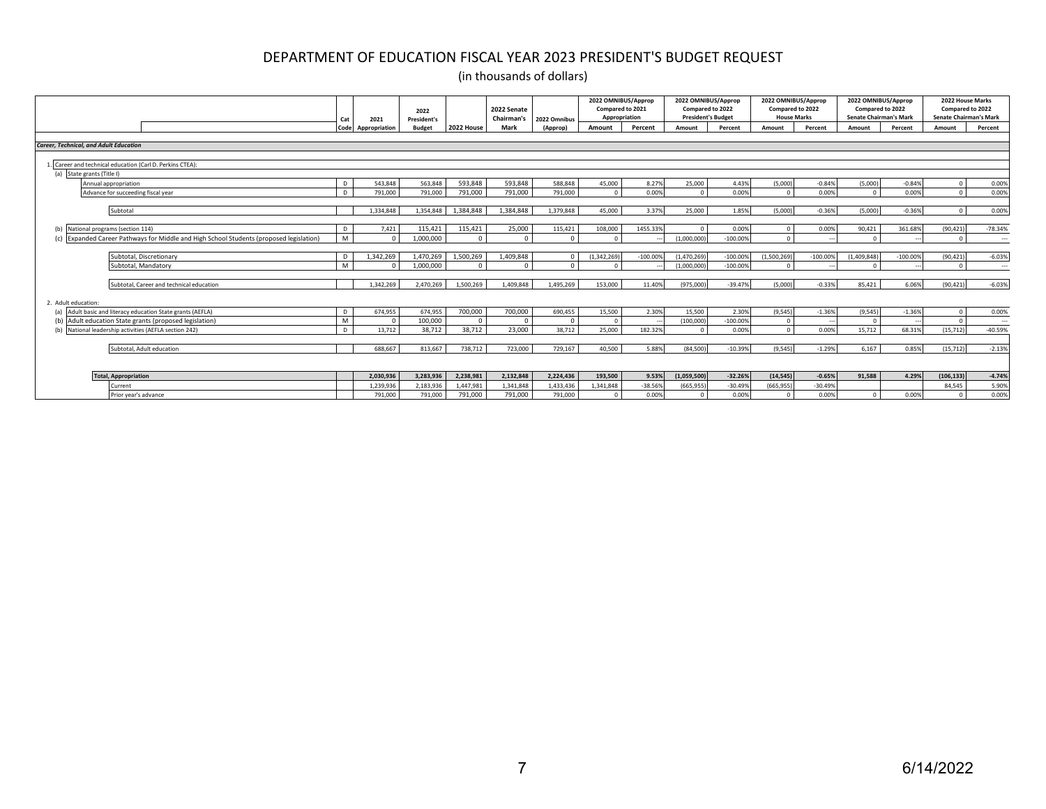|                                                                                                                        | Cat            | 2021                | 2022<br><b>President's</b> |                     | 2022 Senate<br>Chairman's | 2022 Omnibus        | 2022 OMNIBUS/Approp<br>Compared to 2021<br>Appropriation |            | 2022 OMNIBUS/Approp<br>Compared to 2022<br><b>President's Budget</b> |            | 2022 OMNIBUS/Approp<br>Compared to 2022<br><b>House Marks</b> |            | 2022 OMNIBUS/Approp<br>Compared to 2022<br><b>Senate Chairman's Mark</b> |            |            | 2022 House Marks<br>Compared to 2022<br><b>Senate Chairman's Mark</b> |
|------------------------------------------------------------------------------------------------------------------------|----------------|---------------------|----------------------------|---------------------|---------------------------|---------------------|----------------------------------------------------------|------------|----------------------------------------------------------------------|------------|---------------------------------------------------------------|------------|--------------------------------------------------------------------------|------------|------------|-----------------------------------------------------------------------|
|                                                                                                                        | Code           | Appropriation       | <b>Budget</b>              | 2022 House          | Mark                      | (Approp)            | Amount                                                   | Percent    | Amount                                                               | Percent    | Amount                                                        | Percent    | Amount                                                                   | Percent    | Amount     | Percent                                                               |
|                                                                                                                        |                |                     |                            |                     |                           |                     |                                                          |            |                                                                      |            |                                                               |            |                                                                          |            |            |                                                                       |
| <b>Career. Technical, and Adult Education</b>                                                                          |                |                     |                            |                     |                           |                     |                                                          |            |                                                                      |            |                                                               |            |                                                                          |            |            |                                                                       |
| Career and technical education (Carl D. Perkins CTEA):                                                                 |                |                     |                            |                     |                           |                     |                                                          |            |                                                                      |            |                                                               |            |                                                                          |            |            |                                                                       |
| (a) State grants (Title I)                                                                                             |                |                     |                            |                     |                           |                     |                                                          |            |                                                                      |            |                                                               |            |                                                                          |            |            |                                                                       |
| Annual appropriation                                                                                                   |                | 543.848             | 563,848                    | 593,848             | 593,848                   | 588,848             | 45,000                                                   | 8.27%      | 25,000                                                               | 4.43%      | (5,000)                                                       | $-0.84%$   | (5,000)                                                                  | $-0.84%$   |            | 0.00%                                                                 |
| Advance for succeeding fiscal year                                                                                     | D <sub>1</sub> | 791.000             | 791,000                    | 791,000             | 791,000                   | 791,000             | $\Omega$                                                 | 0.00%      | $\sqrt{ }$                                                           | 0.00%      |                                                               | 0.00%      | $\Omega$                                                                 | 0.00%      |            | 0.00%                                                                 |
|                                                                                                                        |                |                     |                            |                     |                           |                     |                                                          |            |                                                                      |            |                                                               |            |                                                                          |            |            |                                                                       |
| Subtotal                                                                                                               |                | 1.334.848           | 1.354.848                  | 1.384.848           | 1.384.848                 | 1.379.848           | 45,000                                                   | 3.37%      | 25,000                                                               | 1.85%      | (5.000)                                                       | $-0.36%$   | (5.000)                                                                  | $-0.36%$   | $\sim$     | 0.00%                                                                 |
|                                                                                                                        |                |                     |                            |                     |                           |                     |                                                          |            |                                                                      |            |                                                               |            |                                                                          |            |            |                                                                       |
| National programs (section 114)<br>Expanded Career Pathways for Middle and High School Students (proposed legislation) | D              | 7,421<br>$\sqrt{2}$ | 115,421                    | 115,421<br>$\Omega$ | 25,000<br>$\Omega$        | 115,421<br>$\Omega$ | 108,000<br>$\Omega$                                      | 1455.33%   |                                                                      | 0.00%      |                                                               | 0.00%      | 90,421<br>$\sim$                                                         | 361.68%    | (90, 421)  | $-78.34%$                                                             |
|                                                                                                                        | M              |                     | 1,000,000                  |                     |                           |                     |                                                          |            | (1,000,000)                                                          | $-100.00%$ |                                                               |            |                                                                          |            |            | $\overline{\phantom{a}}$                                              |
| Subtotal, Discretionary                                                                                                | D              | 1.342.269           | 1.470.269                  | 1.500.269           | 1.409.848                 | $\Omega$            | (1,342,269)                                              | $-100.009$ | (1,470,269)                                                          | $-100.00%$ | (1.500.269)                                                   | $-100.00%$ | (1,409,848)                                                              | $-100.00%$ | (90, 421)  | $-6.03%$                                                              |
| Subtotal, Mandatory                                                                                                    | M              |                     | 1.000.000                  | $\Omega$            |                           |                     | $\Omega$                                                 |            | (1.000.000                                                           | $-100.00%$ |                                                               |            |                                                                          |            |            | $\sim$ $\sim$                                                         |
|                                                                                                                        |                |                     |                            |                     |                           |                     |                                                          |            |                                                                      |            |                                                               |            |                                                                          |            |            |                                                                       |
| Subtotal, Career and technical education                                                                               |                | 1.342.269           | 2,470,269                  | 1,500,269           | 1,409,848                 | 1,495,269           | 153,000                                                  | 11.40%     | (975,000                                                             | $-39.47%$  | (5,000)                                                       | $-0.33%$   | 85.421                                                                   | 6.06%      | (90, 421)  | $-6.03%$                                                              |
|                                                                                                                        |                |                     |                            |                     |                           |                     |                                                          |            |                                                                      |            |                                                               |            |                                                                          |            |            |                                                                       |
| 2. Adult education:                                                                                                    |                |                     |                            |                     |                           |                     |                                                          |            |                                                                      |            |                                                               |            |                                                                          |            |            |                                                                       |
| Adult basic and literacy education State grants (AEFLA)                                                                | $\mathsf{D}$   | 674,955             | 674,955                    | 700,000             | 700,000                   | 690,455             | 15,500                                                   | 2.30%      | 15,500                                                               | 2.30%      | (9,545)                                                       | $-1.36%$   | (9, 545)                                                                 | $-1.36%$   |            | 0.00%                                                                 |
| (b) Adult education State grants (proposed legislation)                                                                | M              | $\Omega$            | 100,000                    | $\Omega$            | $\Omega$                  | $\Omega$            | $\Omega$                                                 |            | (100,000)                                                            | $-100.00%$ |                                                               |            | $\sqrt{ }$                                                               |            |            | $\overline{\phantom{a}}$                                              |
| National leadership activities (AEFLA section 242)                                                                     |                | 13.712              | 38,712                     | 38,712              | 23,000                    | 38.712              | 25,000                                                   | 182.32%    |                                                                      | 0.00%      |                                                               | 0.00%      | 15,712                                                                   | 68.31%     | (15, 712)  | $-40.59%$                                                             |
| Subtotal, Adult education                                                                                              |                | 688.667             | 813.667                    | 738.712             | 723,000                   | 729.167             | 40.500                                                   | 5.88%      | (84.500)                                                             | $-10.39%$  | (9.545)                                                       | $-1.29%$   | 6.167                                                                    | 0.85%      | (15, 712)  | $-2.13%$                                                              |
|                                                                                                                        |                |                     |                            |                     |                           |                     |                                                          |            |                                                                      |            |                                                               |            |                                                                          |            |            |                                                                       |
|                                                                                                                        |                |                     |                            |                     |                           |                     |                                                          |            |                                                                      |            |                                                               |            |                                                                          |            |            |                                                                       |
| <b>Total, Appropriation</b>                                                                                            |                | 2,030,936           | 3,283,936                  | 2,238,981           | 2,132,848                 | 2,224,436           | 193,500                                                  | 9.53%      | (1,059,500)                                                          | $-32.26%$  | (14, 545)                                                     | $-0.65%$   | 91,588                                                                   | 4.29%      | (106, 133) | $-4.74%$                                                              |
| Current                                                                                                                |                | 1.239.936           | 2,183,936                  | 1.447.981           | 1.341.848                 | 1,433,436           | 1,341,848                                                | $-38.569$  | (665, 955)                                                           | $-30.49%$  | (665.955                                                      | $-30.49%$  |                                                                          |            | 84.545     | 5.90%                                                                 |
| Prior year's advance                                                                                                   |                | 791,000             | 791,000                    | 791,000             | 791,000                   | 791,000             | $\sqrt{ }$                                               | 0.00%      |                                                                      | 0.00%      |                                                               | 0.00%      | $\sqrt{2}$                                                               | 0.00%      |            | 0.00%                                                                 |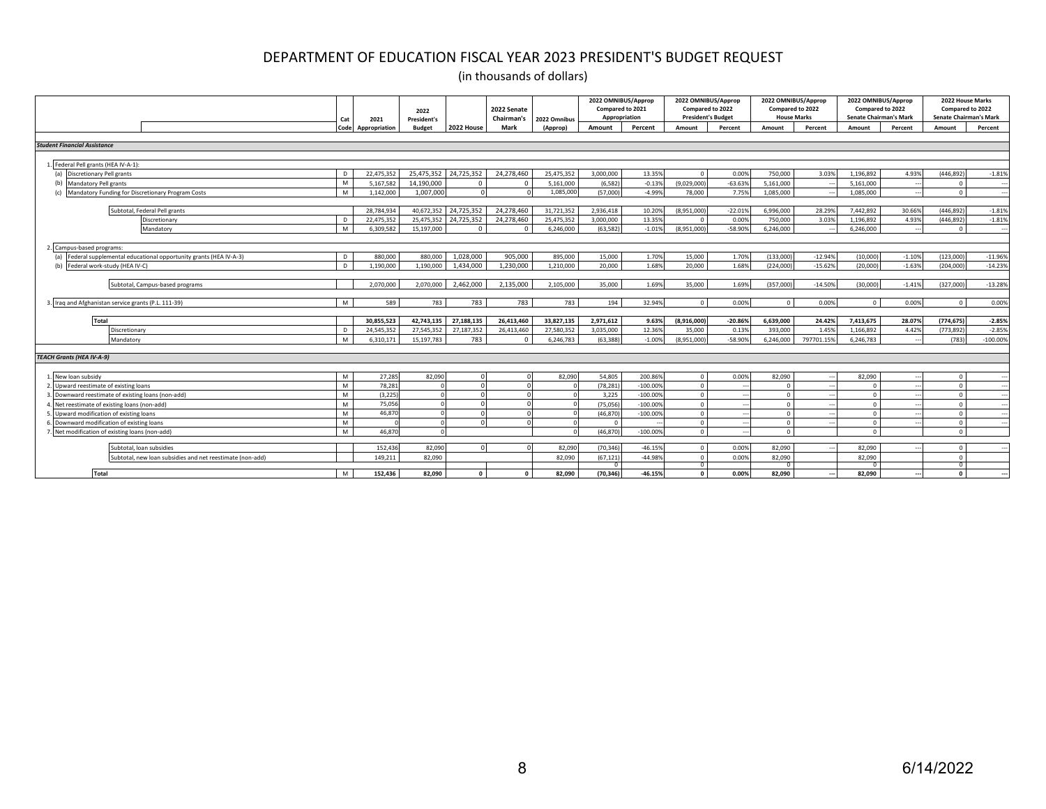|                                                                         | Cat  | 2021          | 2022<br><b>President's</b> |                | 2022 Senate<br>Chairman's | 2022 Omnibus | 2022 OMNIBUS/Approp<br>Compared to 2021<br>Appropriation |            | 2022 OMNIBUS/Approp<br>Compared to 2022<br><b>President's Budget</b> |           | 2022 OMNIBUS/Approp<br>Compared to 2022<br><b>House Marks</b> |            | 2022 OMNIBUS/Approp<br>Compared to 2022<br><b>Senate Chairman's Mark</b> |          | 2022 House Marks<br>Compared to 2022<br><b>Senate Chairman's Mark</b> |            |
|-------------------------------------------------------------------------|------|---------------|----------------------------|----------------|---------------------------|--------------|----------------------------------------------------------|------------|----------------------------------------------------------------------|-----------|---------------------------------------------------------------|------------|--------------------------------------------------------------------------|----------|-----------------------------------------------------------------------|------------|
|                                                                         | Code | Appropriation | <b>Budget</b>              | 2022 House     | Mark                      | (Approp)     | Amount                                                   | Percent    | Amount                                                               | Percent   | Amount                                                        | Percent    | Amount                                                                   | Percent  | Amount                                                                | Percent    |
| <b>Student Financial Assistance</b>                                     |      |               |                            |                |                           |              |                                                          |            |                                                                      |           |                                                               |            |                                                                          |          |                                                                       |            |
|                                                                         |      |               |                            |                |                           |              |                                                          |            |                                                                      |           |                                                               |            |                                                                          |          |                                                                       |            |
| 1. Federal Pell grants (HEA IV-A-1):                                    |      |               |                            |                |                           |              |                                                          |            |                                                                      |           |                                                               |            |                                                                          |          |                                                                       |            |
| <b>Discretionary Pell grants</b><br>(a)                                 |      | 22.475.352    | 25,475,352                 | 24.725.352     | 24.278.460                | 25,475,352   | 3.000.000                                                | 13.35%     | $\Omega$                                                             | 0.00%     | 750,000                                                       | 3.03%      | 1,196,892                                                                | 4.93%    | (446,892                                                              | $-1.81%$   |
| (b)<br><b>Mandatory Pell grants</b>                                     | M    | 5,167,582     | 14,190,000                 | $\overline{0}$ | $\Omega$                  | 5,161,000    | (6, 582)                                                 | $-0.13%$   | (9,029,000)                                                          | $-63.63%$ | 5,161,000                                                     |            | 5,161,000                                                                |          | $\Omega$                                                              |            |
| Mandatory Funding for Discretionary Program Costs                       | M    | 1.142.000     | 1.007.000                  |                |                           | 1.085.000    | (57,000)                                                 | $-4.99%$   | 78,000                                                               | 7.75%     | 1.085.000                                                     |            | 1.085.000                                                                |          | $\Omega$                                                              | --         |
|                                                                         |      |               |                            |                |                           |              |                                                          |            |                                                                      |           |                                                               |            |                                                                          |          |                                                                       |            |
| Subtotal, Federal Pell grants                                           |      | 28,784.934    | 40.672.352                 | 24.725.352     | 24.278.460                | 31,721,352   | 2,936,418                                                | 10.209     | (8.951.000                                                           | $-22.01%$ | 6,996,000                                                     | 28.29%     | 7.442.892                                                                | 30.66%   | (446.892                                                              | $-1.81%$   |
| Discretionan                                                            | -n   | 22,475,352    | 25,475,352                 | 24,725,352     | 24,278,460                | 25,475,352   | 3.000.000                                                | 13.359     | $\sqrt{ }$                                                           | 0.009     | 750,000                                                       | 3.03%      | 1,196,892                                                                | 4.93%    | (446,892                                                              | $-1.81%$   |
| Mandatory                                                               | M    | 6.309.582     | 15,197,000                 | $\Omega$       |                           | 6,246,000    | (63, 582)                                                | $-1.01%$   | (8,951,000)                                                          | $-58.909$ | 6.246.000                                                     |            | 6.246.000                                                                |          | $\Omega$                                                              |            |
|                                                                         |      |               |                            |                |                           |              |                                                          |            |                                                                      |           |                                                               |            |                                                                          |          |                                                                       |            |
| Campus-based programs:                                                  |      |               |                            |                |                           |              |                                                          |            |                                                                      |           |                                                               |            |                                                                          |          |                                                                       |            |
| Federal supplemental educational opportunity grants (HEA IV-A-3)<br>(a) | D.   | 880,000       | 880,000                    | 1,028,000      | 905.000                   | 895,000      | 15,000                                                   | 1.70%      | 15,000                                                               | 1.70%     | (133,000)                                                     | $-12.949$  | (10,000)                                                                 | $-1.10%$ | (123,000)                                                             | $-11.96%$  |
| Federal work-study (HEA IV-C)<br>(h)                                    | D.   | 1,190,000     | 1,190,000                  | 1,434,000      | 1,230,000                 | 1,210,000    | 20,000                                                   | 1.68%      | 20,000                                                               | 1.68%     | (224,000)                                                     | $-15.62%$  | (20,000)                                                                 | $-1.63%$ | (204,000)                                                             | $-14.23%$  |
|                                                                         |      |               |                            |                |                           |              |                                                          |            |                                                                      |           |                                                               |            |                                                                          |          |                                                                       |            |
| Subtotal, Campus-based programs                                         |      | 2.070.000     | 2,070,000                  | 2.462.000      | 2.135.000                 | 2,105,000    | 35,000                                                   | 1.69%      | 35,000                                                               | 1.69%     | (357,000                                                      | $-14.50%$  | (30,000)                                                                 | $-1.41%$ | (327,000)                                                             | $-13.28%$  |
|                                                                         | M    | 589           |                            |                |                           |              |                                                          |            |                                                                      |           |                                                               |            |                                                                          |          |                                                                       |            |
| 3. Iraq and Afghanistan service grants (P.L. 111-39)                    |      |               | 783                        | 783            | 783                       | 783          | 194                                                      | 32.94%     | $\Omega$                                                             | 0.00%     | $\Omega$                                                      | 0.00%      | $\Omega$                                                                 | 0.00%    | $\Omega$                                                              | 0.00%      |
| Total                                                                   |      | 30.855.523    | 42,743,135                 | 27,188,135     | 26.413.460                | 33,827,135   | 2,971,612                                                | 9.63%      | (8,916,000)                                                          | $-20.86%$ | 6,639,000                                                     | 24.42%     | 7,413,675                                                                | 28.07%   | (774, 675)                                                            | $-2.85%$   |
| Discretionary                                                           |      | 24.545.352    | 27,545,352                 | 27,187,352     | 26,413,460                | 27,580,352   | 3,035,000                                                | 12.36%     | 35,000                                                               | 0.13%     | 393,000                                                       | 1.45%      | 1,166,892                                                                | 4.42%    | (773,892                                                              | $-2.859$   |
| Mandatory                                                               | M    | 6.310.171     | 15,197,783                 | 783            | n                         | 6,246,783    | (63.388)                                                 | $-1.00%$   | (8.951.000                                                           | $-58.90%$ | 6.246.000                                                     | 797701.15% | 6.246.783                                                                |          | (783)                                                                 | $-100.009$ |
|                                                                         |      |               |                            |                |                           |              |                                                          |            |                                                                      |           |                                                               |            |                                                                          |          |                                                                       |            |
| <b>TEACH Grants (HEA IV-A-9)</b>                                        |      |               |                            |                |                           |              |                                                          |            |                                                                      |           |                                                               |            |                                                                          |          |                                                                       |            |
|                                                                         |      |               |                            |                |                           |              |                                                          |            |                                                                      |           |                                                               |            |                                                                          |          |                                                                       |            |
| New loan subsidy                                                        | M    | 27.285        | 82,090                     |                |                           | 82,090       | 54,805                                                   | 200.869    | $\Omega$                                                             | 0.00%     | 82,090                                                        |            | 82.090                                                                   |          | $\Omega$                                                              |            |
| Upward reestimate of existing loans                                     | M    | 78,281        |                            |                |                           |              | (78, 281)                                                | $-100.005$ | $\Omega$                                                             |           | - C                                                           |            |                                                                          |          | $\sqrt{ }$                                                            |            |
| Downward reestimate of existing loans (non-add)                         | M    | (3.225)       |                            |                |                           |              | 3,225                                                    | $-100.009$ | $\Omega$                                                             |           |                                                               |            |                                                                          |          |                                                                       |            |
| Net reestimate of existing loans (non-add)                              | M    | 75,056        |                            |                |                           |              | (75.056)                                                 | $-100.009$ | $\Omega$                                                             |           | $\sqrt{ }$                                                    |            | $\Omega$                                                                 |          | $\Omega$                                                              |            |
| Upward modification of existing loans                                   | M    | 46,870        |                            |                |                           |              | (46, 870)                                                | $-100.009$ | $\Omega$                                                             |           | - C                                                           |            | $\Omega$                                                                 |          |                                                                       |            |
| Downward modification of existing loans                                 | M    |               |                            |                |                           |              | $\Omega$                                                 |            | $\Omega$                                                             |           | $\Omega$                                                      |            | $\Omega$                                                                 |          | $\Omega$                                                              |            |
| Net modification of existing loans (non-add)                            | M    | 46,870        |                            |                |                           |              | (46, 870)                                                | $-100.009$ | $\Omega$                                                             |           | $\Omega$                                                      |            | $\Omega$                                                                 |          | $\Omega$                                                              |            |
|                                                                         |      |               |                            |                |                           |              |                                                          |            |                                                                      |           |                                                               |            |                                                                          |          |                                                                       |            |
| Subtotal, loan subsidies                                                |      | 152,436       | 82,090                     | $\Omega$       |                           | 82,090       | (70, 346)                                                | $-46.15%$  | $\Omega$                                                             | 0.00%     | 82,090                                                        |            | 82,090                                                                   |          | $\Omega$                                                              |            |
| Subtotal, new loan subsidies and net reestimate (non-add)               |      | 149.211       | 82,090                     |                |                           | 82,090       | (67, 121)                                                | $-44.989$  | $\Omega$<br>$\Omega$                                                 | 0.00%     | 82.090                                                        |            | 82,090                                                                   |          | $\Omega$                                                              |            |
| Total                                                                   | M    | 152.436       | 82.090                     | $\Omega$       |                           | 82.090       | (70.346)                                                 | $-46.15%$  | $\mathbf{a}$                                                         | 0.00%     | 82.090                                                        |            | 82.090                                                                   |          | $\Omega$                                                              |            |
|                                                                         |      |               |                            |                |                           |              |                                                          |            |                                                                      |           |                                                               |            |                                                                          |          |                                                                       |            |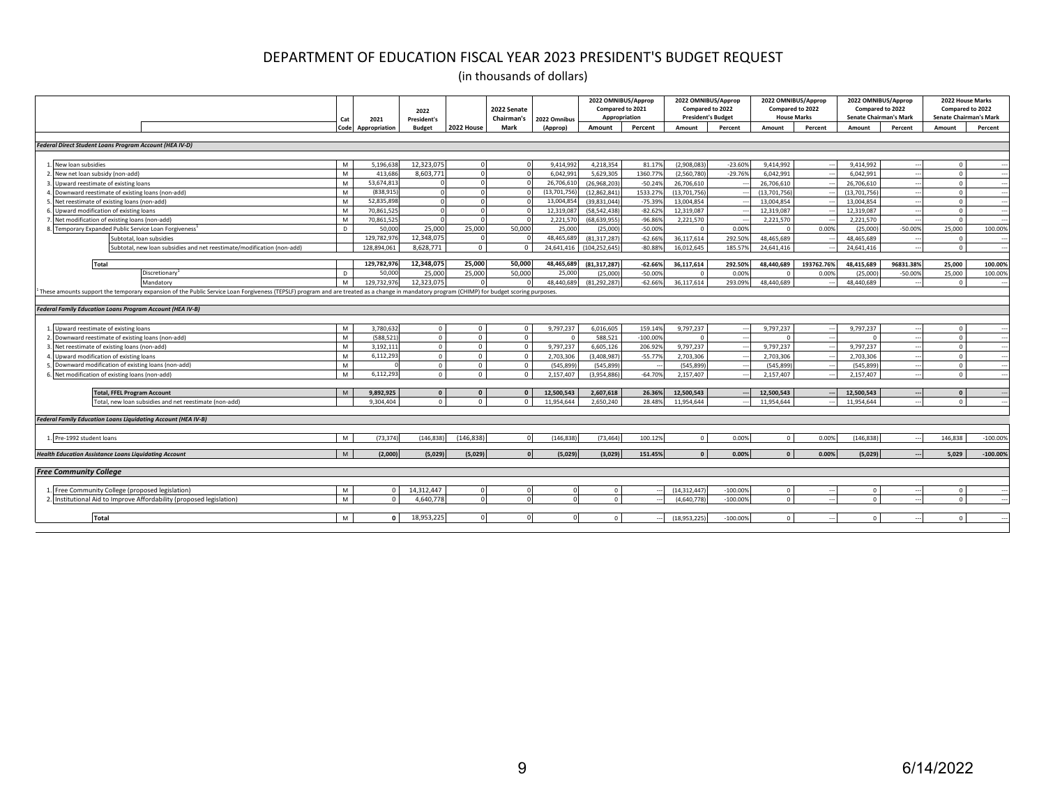|                                                                                                                                                                                             | Cat  | 2021          | 2022<br>President's |            | 2022 Senate<br>Chairman's | 2022 Omnibus  | 2022 OMNIBUS/Approp<br>Compared to 2021<br>Appropriation |            | 2022 OMNIBUS/Approp<br>Compared to 2022<br><b>President's Budget</b> |            | 2022 OMNIBUS/Approp<br>Compared to 2022<br><b>House Marks</b> |            | 2022 OMNIBUS/Approp<br>Compared to 2022<br><b>Senate Chairman's Mark</b> |           | 2022 House Marks<br>Compared to 2022<br><b>Senate Chairman's Mark</b> |                          |
|---------------------------------------------------------------------------------------------------------------------------------------------------------------------------------------------|------|---------------|---------------------|------------|---------------------------|---------------|----------------------------------------------------------|------------|----------------------------------------------------------------------|------------|---------------------------------------------------------------|------------|--------------------------------------------------------------------------|-----------|-----------------------------------------------------------------------|--------------------------|
|                                                                                                                                                                                             | Code | Appropriation | <b>Budget</b>       | 2022 House | Mark                      | (Approp)      | Amount                                                   | Percent    | Amount                                                               | Percent    | Amount                                                        | Percent    | Amount                                                                   | Percent   | Amount                                                                | Percent                  |
|                                                                                                                                                                                             |      |               |                     |            |                           |               |                                                          |            |                                                                      |            |                                                               |            |                                                                          |           |                                                                       |                          |
| Federal Direct Student Loans Program Account (HEA IV-D)                                                                                                                                     |      |               |                     |            |                           |               |                                                          |            |                                                                      |            |                                                               |            |                                                                          |           |                                                                       |                          |
| 1. New loan subsidies                                                                                                                                                                       | M    | 5.196.638     | 12,323,075          |            |                           | 9,414,99      | 4,218,354                                                | 81.17      | (2,908,083)                                                          | $-23.609$  | 9,414,992                                                     |            | 9,414,992                                                                |           |                                                                       |                          |
| New net loan subsidy (non-add)                                                                                                                                                              | M    | 413,686       | 8,603,771           |            |                           | 6,042,99      | 5,629,305                                                | 1360.77    | (2,560,780)                                                          | $-29.76%$  | 6.042.991                                                     |            | 6,042,991                                                                |           | $\Omega$                                                              |                          |
| Upward reestimate of existing loans                                                                                                                                                         | M    | 53,674,81     |                     |            |                           | 26,706,61     | (26.968.203)                                             | $-50.24%$  | 26,706,610                                                           |            | 26,706,610                                                    |            | 26,706,610                                                               |           | $\Omega$                                                              | $\cdots$                 |
| Downward reestimate of existing loans (non-add)                                                                                                                                             | M    | (838.915      |                     |            |                           | (13, 701, 75) | (12, 862, 841)                                           | 1533.27    | (13,701,756)                                                         |            | (13,701,756                                                   |            | (13,701,756)                                                             |           | $\Omega$                                                              |                          |
| Net reestimate of existing loans (non-add)                                                                                                                                                  | M    | 52,835,898    |                     |            |                           | 13,004,8      | (39, 831, 044)                                           | $-75.39%$  | 13,004,854                                                           |            | 13,004,854                                                    |            | 13,004,854                                                               |           | $\Omega$                                                              |                          |
| Upward modification of existing loans                                                                                                                                                       | M    | 70,861,52     |                     |            |                           | 12,319,0      | (58, 542, 438)                                           | $-82.629$  | 12,319,087                                                           |            | 12,319,087                                                    |            | 12,319,087                                                               |           | $\Omega$                                                              |                          |
| Net modification of existing loans (non-add)                                                                                                                                                | M    | 70,861,52     |                     |            |                           | 2,221,5       | (68,639,955                                              | $-96.86%$  | 2,221,570                                                            |            | 2,221,570                                                     |            | 2,221,570                                                                |           |                                                                       |                          |
| Temporary Expanded Public Service Loan Forgiveness <sup>1</sup>                                                                                                                             | D.   | 50,000        | 25,000              | 25,000     | 50,000                    | 25,00         | (25,000)                                                 | $-50.00%$  |                                                                      | 0.00%      |                                                               | 0.00%      | (25,000)                                                                 | $-50.00%$ | 25,000                                                                | 100.00%                  |
| Subtotal, loan subsidies                                                                                                                                                                    |      | 129,782,976   | 12,348,075          |            |                           | 48,465,68     | (81, 317, 287)                                           | $-62.66%$  | 36,117,614                                                           | 292.50%    | 48,465,689                                                    |            | 48,465,689                                                               |           | $\Omega$                                                              |                          |
| Subtotal, new loan subsidies and net reestimate/modification (non-add)                                                                                                                      |      | 128,894,061   | 8,628,771           | $\Omega$   | $\Omega$                  | 24,641,416    | (104, 252, 645)                                          | $-80.88%$  | 16,012,645                                                           | 185.57%    | 24,641,416                                                    |            | 24,641,416                                                               |           | $\Omega$                                                              | $\overline{\phantom{a}}$ |
| <b>Total</b>                                                                                                                                                                                |      | 129,782,976   | 12,348,075          | 25,000     | 50,000                    | 48,465,68     | (81,317,287                                              | $-62.66%$  | 36,117,614                                                           | 292.50%    | 48,440,689                                                    | 193762.76% | 48,415,689                                                               | 96831.38% | 25,000                                                                | 100.00%                  |
| Discretionary <sup>®</sup>                                                                                                                                                                  | D.   | 50,000        | 25,000              | 25,000     | 50,000                    | 25,000        | (25,000)                                                 | $-50.00%$  | $\Omega$                                                             | 0.009      |                                                               | 0.00%      | (25,000)                                                                 | $-50.00%$ | 25,000                                                                | 100.00%                  |
| Mandatory                                                                                                                                                                                   | M    | 129.732.976   | 12.323.075          |            |                           | 48,440,689    | (81.292.287)                                             | $-62.66%$  | 36,117,614                                                           | 293.099    | 48,440,689                                                    |            | 48.440.689                                                               |           | $^{\circ}$                                                            |                          |
| These amounts support the temporary expansion of the Public Service Loan Forgiveness (TEPSLF) program and are treated as a change in mandatory program (CHIMP) for budget scoring purposes. |      |               |                     |            |                           |               |                                                          |            |                                                                      |            |                                                               |            |                                                                          |           |                                                                       |                          |
|                                                                                                                                                                                             |      |               |                     |            |                           |               |                                                          |            |                                                                      |            |                                                               |            |                                                                          |           |                                                                       |                          |
| <b>Federal Family Education Loans Program Account (HEA IV-B)</b>                                                                                                                            |      |               |                     |            |                           |               |                                                          |            |                                                                      |            |                                                               |            |                                                                          |           |                                                                       |                          |
|                                                                                                                                                                                             |      |               |                     |            |                           |               |                                                          |            |                                                                      |            |                                                               |            |                                                                          |           |                                                                       |                          |
| Upward reestimate of existing loans                                                                                                                                                         | M    | 3,780,632     | $\circ$             | $\Omega$   | $\Omega$                  | 9,797,237     | 6,016,605                                                | 159.14%    | 9.797.237                                                            |            | 9.797.237                                                     |            | 9.797.237                                                                |           | $\Omega$                                                              |                          |
| Downward reestimate of existing loans (non-add)                                                                                                                                             | M    | (588,521      | $\circ$             | $\circ$    | $\Omega$                  |               | 588,521                                                  | $-100.00%$ | $\Omega$                                                             |            |                                                               |            | $\Omega$                                                                 |           | $\Omega$                                                              |                          |
| Net reestimate of existing loans (non-add)                                                                                                                                                  | M    | 3,192,11      | $^{\circ}$          | $\circ$    | $\Omega$                  | 9,797,237     | 6,605,126                                                | 206.92%    | 9,797,237                                                            |            | 9,797,237                                                     |            | 9,797,237                                                                |           | $\Omega$                                                              |                          |
| Upward modification of existing loans                                                                                                                                                       | M    | 6,112,293     | $\Omega$            | $\Omega$   | $\Omega$                  | 2,703,306     | (3,408,987)                                              | $-55.77%$  | 2,703,306                                                            |            | 2,703,306                                                     |            | 2,703,306                                                                |           | $\Omega$                                                              |                          |
| Downward modification of existing loans (non-add)                                                                                                                                           | M    |               | $\circ$             | $\circ$    | $\Omega$                  | (545,899      | (545,899)                                                |            | (545,899                                                             |            | (545,899                                                      |            | (545, 899)                                                               |           | $\Omega$                                                              |                          |
| Net modification of existing loans (non-add)                                                                                                                                                | M    | 6,112,293     | $\Omega$            | $\Omega$   |                           | 2,157,407     | (3,954,886)                                              | $-64.70%$  | 2,157,407                                                            |            | 2,157,407                                                     |            | 2,157,407                                                                |           | $\Omega$                                                              |                          |
|                                                                                                                                                                                             | M    | 9,892,925     | $\Omega$            | $\Omega$   | $\Omega$                  | 12,500,543    | 2,607,618                                                | 26.36%     | 12,500,543                                                           |            | 12,500,543                                                    |            | 12,500,543                                                               |           | $\Omega$                                                              |                          |
| <b>Total, FFEL Program Account</b><br>Total, new loan subsidies and net reestimate (non-add)                                                                                                |      | 9,304,404     | $\Omega$            | $\Omega$   |                           | 11,954,644    | 2,650,240                                                | 28,489     | 11,954,644                                                           |            | 11,954,644                                                    |            | 11,954,644                                                               |           | $\Omega$                                                              |                          |
|                                                                                                                                                                                             |      |               |                     |            |                           |               |                                                          |            |                                                                      |            |                                                               |            |                                                                          |           |                                                                       |                          |
| Federal Family Education Loans Liquidating Account (HEA IV-B)                                                                                                                               |      |               |                     |            |                           |               |                                                          |            |                                                                      |            |                                                               |            |                                                                          |           |                                                                       |                          |
|                                                                                                                                                                                             |      |               |                     |            |                           |               |                                                          |            |                                                                      |            |                                                               |            |                                                                          |           |                                                                       |                          |
| Pre-1992 student loans                                                                                                                                                                      | M    | (73, 374)     | 146,838             | (146,838   |                           | 146,838       | (73.464)                                                 | 100.12%    | $\Omega$                                                             | 0.00%      |                                                               | 0.00%      | (146.838)                                                                |           | 146.838                                                               | $-100.00%$               |
| <b>Health Education Assistance Loans Liquidating Account</b>                                                                                                                                | M    | (2,000)       | (5,029)             | (5,029)    |                           | (5,029)       | (3,029)                                                  | 151.45%    | $\Omega$                                                             | 0.00%      |                                                               | 0.00%      | (5,029)                                                                  |           | 5,029                                                                 | $-100.00\%$              |
| <b>Free Community College</b>                                                                                                                                                               |      |               |                     |            |                           |               |                                                          |            |                                                                      |            |                                                               |            |                                                                          |           |                                                                       |                          |
| 1. Free Community College (proposed legislation)                                                                                                                                            | M    | $\Omega$      | 14,312,447          |            |                           |               | $\Omega$                                                 |            | (14, 312, 447)                                                       | $-100.009$ |                                                               |            | $\Omega$                                                                 |           | $\Omega$                                                              |                          |
| Institutional Aid to Improve Affordability (proposed legislation)                                                                                                                           | M    | $\Omega$      | 4.640.778           |            |                           |               | $\Omega$                                                 |            | (4.640.778                                                           | $-100.00%$ |                                                               |            | $\Omega$                                                                 |           |                                                                       |                          |
|                                                                                                                                                                                             |      |               |                     |            |                           |               |                                                          |            |                                                                      |            |                                                               |            |                                                                          |           |                                                                       |                          |
| <b>Total</b>                                                                                                                                                                                | M    | $\Omega$      | 18,953,225          |            |                           |               |                                                          |            | (18,953,225)                                                         | $-100.00%$ |                                                               |            | $\Omega$                                                                 |           |                                                                       |                          |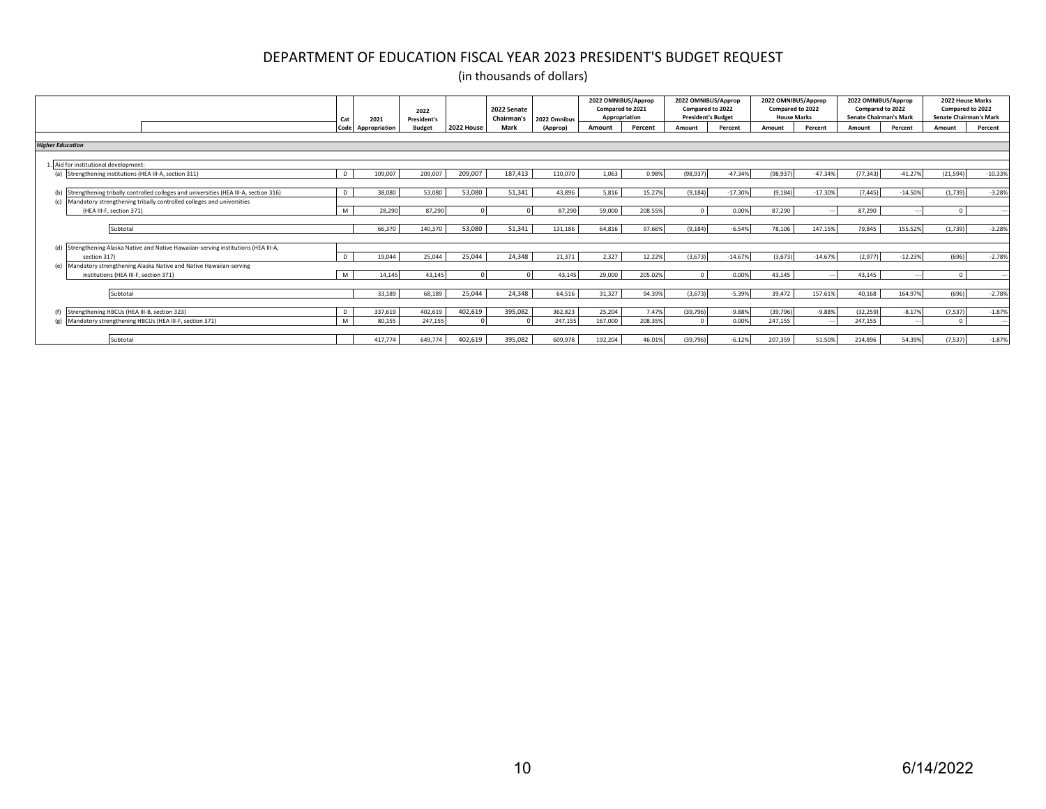|                                                                                          | Cat          | 2021          | 2022<br><b>President's</b> |            | 2022 Senate<br>Chairman's | 2022 Omnibus | 2022 OMNIBUS/Approp<br>Compared to 2021<br>Appropriation |         | 2022 OMNIBUS/Approp<br>Compared to 2022<br><b>President's Budget</b> |           | 2022 OMNIBUS/Approp<br>Compared to 2022<br><b>House Marks</b> |                          | 2022 OMNIBUS/Approp<br>Compared to 2022<br><b>Senate Chairman's Mark</b> |           | 2022 House Marks<br>Compared to 2022<br><b>Senate Chairman's Mark</b> |           |
|------------------------------------------------------------------------------------------|--------------|---------------|----------------------------|------------|---------------------------|--------------|----------------------------------------------------------|---------|----------------------------------------------------------------------|-----------|---------------------------------------------------------------|--------------------------|--------------------------------------------------------------------------|-----------|-----------------------------------------------------------------------|-----------|
|                                                                                          | Code         | Appropriation | <b>Budget</b>              | 2022 House | <b>Mark</b>               | (Approp)     | Amount                                                   | Percent | Amount                                                               | Percent   | Amount                                                        | Percent                  | Amount                                                                   | Percent   | Amount                                                                | Percent   |
| <b>Higher Education</b>                                                                  |              |               |                            |            |                           |              |                                                          |         |                                                                      |           |                                                               |                          |                                                                          |           |                                                                       |           |
|                                                                                          |              |               |                            |            |                           |              |                                                          |         |                                                                      |           |                                                               |                          |                                                                          |           |                                                                       |           |
| Aid for institutional development:                                                       |              |               |                            |            |                           |              |                                                          |         |                                                                      |           |                                                               |                          |                                                                          |           |                                                                       |           |
| (a) Strengthening institutions (HEA III-A, section 311)                                  | D.           | 109.007       | 209,007                    | 209,007    | 187.413                   | 110.070      | 1,063                                                    | 0.98%   | (98, 937)                                                            | $-47.34%$ | (98, 937)                                                     | $-47.34%$                | (77, 343)                                                                | $-41.27%$ | (21, 594)                                                             | $-10.33%$ |
|                                                                                          |              |               |                            |            |                           |              |                                                          |         |                                                                      |           |                                                               |                          |                                                                          |           |                                                                       |           |
| (b) Strengthening tribally controlled colleges and universities (HEA III-A, section 316) | $\mathsf{D}$ | 38,080        | 53,080                     | 53,080     | 51,341                    | 43.896       | 5,816                                                    | 15.27%  | (9, 184)                                                             | $-17.30%$ | (9, 184)                                                      | $-17.30%$                | (7, 445)                                                                 | $-14.50%$ | (1,739)                                                               | $-3.28%$  |
| (c) Mandatory strengthening tribally controlled colleges and universities                |              |               |                            |            |                           |              |                                                          |         |                                                                      |           |                                                               |                          |                                                                          |           |                                                                       |           |
| (HEA III-F, section 371)                                                                 | M            | 28.290        | 87,290                     | ΩI         |                           | 87,290       | 59,000                                                   | 208.55% |                                                                      | 0.00%     | 87,290                                                        | $\overline{\phantom{a}}$ | 87,290                                                                   |           | $\Omega$                                                              |           |
|                                                                                          |              |               |                            |            |                           |              |                                                          |         |                                                                      |           |                                                               |                          |                                                                          |           |                                                                       |           |
| Subtotal                                                                                 |              | 66,370        | 140,370                    | 53,080     | 51,341                    | 131,186      | 64,816                                                   | 97.66%  | (9, 184)                                                             | $-6.54%$  | 78,106                                                        | 147.15%                  | 79,845                                                                   | 155.52%   | (1,739)                                                               | $-3.28%$  |
| (d) Strengthening Alaska Native and Native Hawaiian-serving institutions (HEA III-A,     |              |               |                            |            |                           |              |                                                          |         |                                                                      |           |                                                               |                          |                                                                          |           |                                                                       |           |
| section 317)                                                                             | $\mathsf{D}$ | 19.044        | 25.044                     | 25.044     | 24.348                    | 21.371       | 2.327                                                    | 12.22%  | (3.673)                                                              | $-14.67%$ | (3.673)                                                       | $-14.67%$                | (2.977)                                                                  | $-12.23%$ | (696)                                                                 | $-2.78%$  |
| (e) Mandatory strengthening Alaska Native and Native Hawaiian-serving                    |              |               |                            |            |                           |              |                                                          |         |                                                                      |           |                                                               |                          |                                                                          |           |                                                                       |           |
| institutions (HEA III-F, section 371)                                                    | M            | 14.145        | 43.145                     | ΩI         |                           | 43.145       | 29,000                                                   | 205.02% |                                                                      | 0.00%     | 43.145                                                        | $\overline{\phantom{a}}$ | 43.145                                                                   | $\sim$    | $\Omega$                                                              |           |
|                                                                                          |              |               |                            |            |                           |              |                                                          |         |                                                                      |           |                                                               |                          |                                                                          |           |                                                                       |           |
| Subtotal                                                                                 |              | 33.189        | 68,189                     | 25,044     | 24,348                    | 64,516       | 31,327                                                   | 94.39%  | (3.673)                                                              | $-5.39%$  | 39,472                                                        | 157.61%                  | 40,168                                                                   | 164.97%   | (696)                                                                 | $-2.78%$  |
|                                                                                          |              |               |                            |            |                           |              |                                                          |         |                                                                      |           |                                                               |                          |                                                                          |           |                                                                       |           |
| (f) Strengthening HBCUs (HEA III-B, section 323)                                         |              | 337,619       | 402,619                    | 402,619    | 395,082                   | 362,823      | 25,204                                                   | 7.47%   | (39, 796)                                                            | $-9.88%$  | (39, 796)                                                     | $-9.88%$                 | (32, 259)                                                                | $-8.17%$  | (7, 537)                                                              | $-1.87%$  |
| Mandatory strengthening HBCUs (HEA III-F, section 371)                                   | M            | 80,155        | 247,155                    |            |                           | 247,155      | 167,000                                                  | 208.35% |                                                                      | 0.00%     | 247,155                                                       |                          | 247,155                                                                  | --        | $\Omega$                                                              | ---       |
|                                                                                          |              |               |                            |            |                           |              |                                                          |         |                                                                      |           |                                                               |                          |                                                                          |           |                                                                       |           |
| Subtotal                                                                                 |              | 417.774       | 649,774                    | 402,619    | 395,082                   | 609,978      | 192,204                                                  | 46.01%  | (39, 796)                                                            | $-6.12%$  | 207,359                                                       | 51.50%                   | 214,896                                                                  | 54.39%    | (7, 537)                                                              | $-1.87%$  |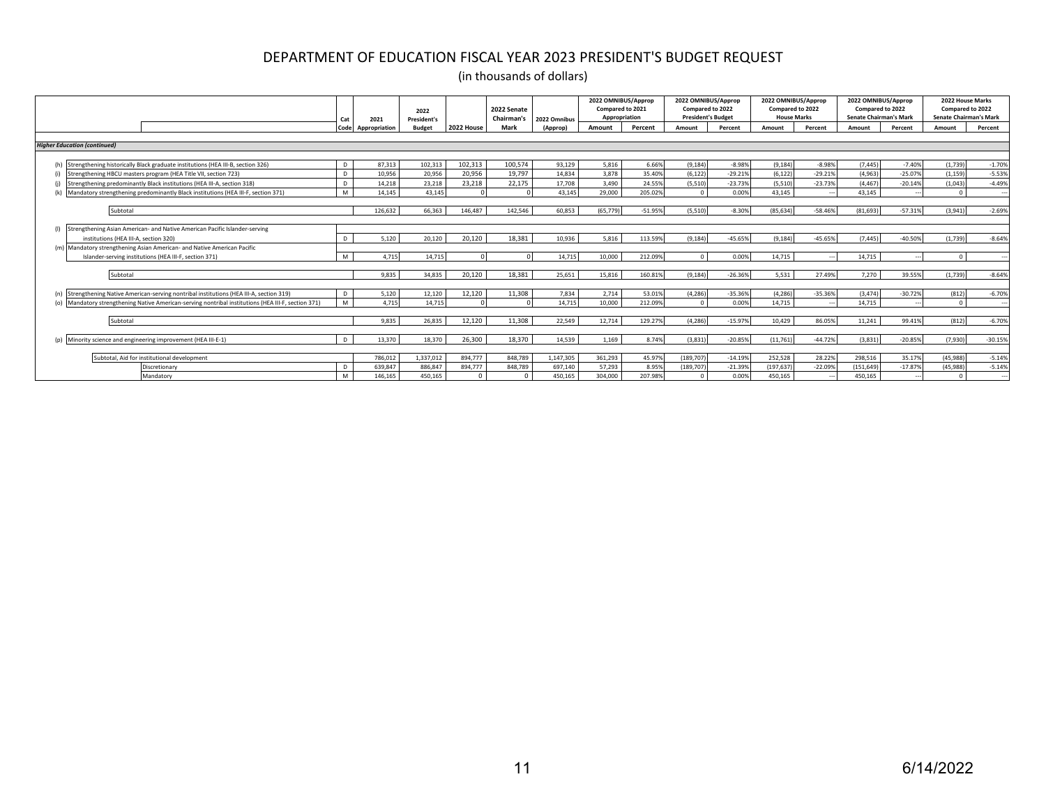|                                                                                                     | Cat          | 2021          | 2022<br><b>President's</b> |            | 2022 Senate<br>Chairman's | 2022 Omnibus | 2022 OMNIBUS/Approp<br>Compared to 2021<br>Appropriation |           | 2022 OMNIBUS/Approp<br>Compared to 2022<br><b>President's Budget</b> |           | 2022 OMNIBUS/Approp<br>Compared to 2022<br><b>House Marks</b> |                          | 2022 OMNIBUS/Approp<br>Compared to 2022<br><b>Senate Chairman's Mark</b> |                          | 2022 House Marks<br>Compared to 2022<br><b>Senate Chairman's Mark</b> |           |
|-----------------------------------------------------------------------------------------------------|--------------|---------------|----------------------------|------------|---------------------------|--------------|----------------------------------------------------------|-----------|----------------------------------------------------------------------|-----------|---------------------------------------------------------------|--------------------------|--------------------------------------------------------------------------|--------------------------|-----------------------------------------------------------------------|-----------|
|                                                                                                     | Code         | Appropriation | <b>Budget</b>              | 2022 House | Mark                      | (Approp)     | Amount                                                   | Percent   | Amount                                                               | Percent   | Amount                                                        | Percent                  | Amount                                                                   | Percent                  | Amount                                                                | Percent   |
|                                                                                                     |              |               |                            |            |                           |              |                                                          |           |                                                                      |           |                                                               |                          |                                                                          |                          |                                                                       |           |
| <b>Higher Education (continued)</b>                                                                 |              |               |                            |            |                           |              |                                                          |           |                                                                      |           |                                                               |                          |                                                                          |                          |                                                                       |           |
| (h) Strengthening historically Black graduate institutions (HEA III-B, section 326)                 | D.           | 87,313        | 102,313                    | 102,313    | 100,574                   | 93,129       | 5,816                                                    | 6.66%     | (9, 184)                                                             | $-8.98%$  | (9, 184)                                                      | $-8.98%$                 | (7, 445)                                                                 | $-7.40%$                 | (1,739)                                                               | $-1.70%$  |
| (i) Strengthening HBCU masters program (HEA Title VII, section 723)                                 | D.           | 10.956        | 20,956                     | 20,956     | 19.797                    | 14.834       | 3,878                                                    | 35.40%    | (6, 122)                                                             | $-29.21%$ | (6, 122)                                                      | $-29.21%$                | (4,963)                                                                  | $-25.07%$                | (1, 159)                                                              | $-5.53%$  |
| Strengthening predominantly Black institutions (HEA III-A, section 318)<br>(i)                      | D.           | 14.218        | 23,218                     | 23,218     | 22.175                    | 17,708       | 3,490                                                    | 24.55%    | (5, 510)                                                             | $-23.73%$ | (5, 510)                                                      | $-23.73%$                | (4, 467)                                                                 | $-20.14%$                | (1,043)                                                               | $-4.49%$  |
| Mandatory strengthening predominantly Black institutions (HEA III-F, section 371)<br>(k)            | M            | 14.145        | 43.145                     |            |                           | 43.145       | 29,000                                                   | 205.02%   |                                                                      | 0.00%     | 43.145                                                        |                          | 43.145                                                                   |                          |                                                                       |           |
|                                                                                                     |              |               |                            |            |                           |              |                                                          |           |                                                                      |           |                                                               |                          |                                                                          |                          |                                                                       |           |
| Subtotal                                                                                            |              | 126.632       | 66.363                     | 146.487    | 142.546                   | 60.853       | (65.779)                                                 | $-51.95%$ | (5.510)                                                              | $-8.30%$  | (85.634)                                                      | $-58.46%$                | (81.693)                                                                 | $-57.31%$                | (3.941)                                                               | $-2.69%$  |
|                                                                                                     |              |               |                            |            |                           |              |                                                          |           |                                                                      |           |                                                               |                          |                                                                          |                          |                                                                       |           |
| (I) Strengthening Asian American- and Native American Pacific Islander-serving                      |              |               |                            |            |                           |              |                                                          |           |                                                                      |           |                                                               |                          |                                                                          |                          |                                                                       |           |
| institutions (HEA III-A, section 320)                                                               | $\mathsf{D}$ | 5.120         | 20.120                     | 20.120     | 18.381                    | 10,936       | 5.816                                                    | 113.59%   | (9.184)                                                              | $-45.65%$ | (9.184)                                                       | $-45.65%$                | (7.445)                                                                  | $-40.50%$                | (1.739)                                                               | $-8.64%$  |
| (m) Mandatory strengthening Asian American- and Native American Pacific                             |              |               |                            |            |                           |              |                                                          |           |                                                                      |           |                                                               |                          |                                                                          |                          |                                                                       |           |
| Islander-serving institutions (HEA III-F, section 371)                                              | M            | 4.715         | 14.715                     |            |                           | 14.715       | 10,000                                                   | 212.09%   | $\Omega$                                                             | 0.00%     | 14.715                                                        | $\overline{\phantom{a}}$ | 14.715                                                                   | $\overline{\phantom{a}}$ |                                                                       |           |
|                                                                                                     |              |               |                            |            |                           |              |                                                          |           |                                                                      |           |                                                               |                          |                                                                          |                          |                                                                       |           |
| Subtotal                                                                                            |              | 9.835         | 34.835                     | 20.120     | 18.381                    | 25.651       | 15.816                                                   | 160.81%   | (9.184)                                                              | $-26.36%$ | 5.531                                                         | 27,49%                   | 7.270                                                                    | 39.55%                   | (1.739)                                                               | $-8.64%$  |
|                                                                                                     |              |               |                            |            |                           |              |                                                          |           |                                                                      |           |                                                               |                          |                                                                          |                          |                                                                       |           |
| (n) Strengthening Native American-serving nontribal institutions (HEA III-A, section 319)           | D            | 5,120         | 12,120                     | 12,120     | 11,308                    | 7,834        | 2,714                                                    | 53.01%    | (4, 286)                                                             | $-35.36%$ | (4, 286)                                                      | $-35.36%$                | (3, 474)                                                                 | $-30.72%$                | (812)                                                                 | $-6.70%$  |
| (o) Mandatory strengthening Native American-serving nontribal institutions (HEA III-F, section 371) | M            | 4.715         | 14.715                     |            |                           | 14.715       | 10,000                                                   | 212.099   |                                                                      | 0.00%     | 14.715                                                        |                          | 14.715                                                                   |                          |                                                                       |           |
|                                                                                                     |              |               |                            |            |                           |              |                                                          |           |                                                                      |           |                                                               |                          |                                                                          |                          |                                                                       |           |
| Subtotal                                                                                            |              | 9.835         | 26.835                     | 12.120     | 11.308                    | 22.549       | 12.714                                                   | 129.27%   | (4.286)                                                              | $-15.97%$ | 10.429                                                        | 86.05%                   | 11.241                                                                   | 99.41%                   | (812)                                                                 | $-6.70%$  |
| (p) Minority science and engineering improvement (HEA III-E-1)                                      | D            | 13.370        | 18,370                     | 26.300     | 18.370                    | 14.539       | 1.169                                                    | 8.74%     | (3.831)                                                              | $-20.85%$ | (11.761)                                                      | $-44.72%$                | (3.831)                                                                  | $-20.85%$                | (7.930)                                                               | $-30.15%$ |
|                                                                                                     |              |               |                            |            |                           |              |                                                          |           |                                                                      |           |                                                               |                          |                                                                          |                          |                                                                       |           |
| Subtotal, Aid for institutional development                                                         |              | 786.012       | 1.337.012                  | 894.777    | 848,789                   | 1,147,305    | 361.293                                                  | 45.97%    | (189, 707)                                                           | $-14.19%$ | 252.528                                                       | 28.22%                   | 298,516                                                                  | 35.17%                   | (45, 988)                                                             | $-5.14%$  |
| Discretionary                                                                                       |              | 639.847       | 886.84                     | 894,777    | 848.789                   | 697,140      | 57.293                                                   | 8.95%     | (189, 707)                                                           | $-21.39%$ | (197, 637)                                                    | $-22.09%$                | (151, 649)                                                               | $-17.87%$                | (45.988                                                               | $-5.14%$  |
| Mandatory                                                                                           | M            | 146,165       | 450,165                    | $\Omega$   |                           | 450,165      | 304,000                                                  | 207.98%   |                                                                      | 0.00%     | 450,165                                                       |                          | 450,165                                                                  |                          |                                                                       | - 11      |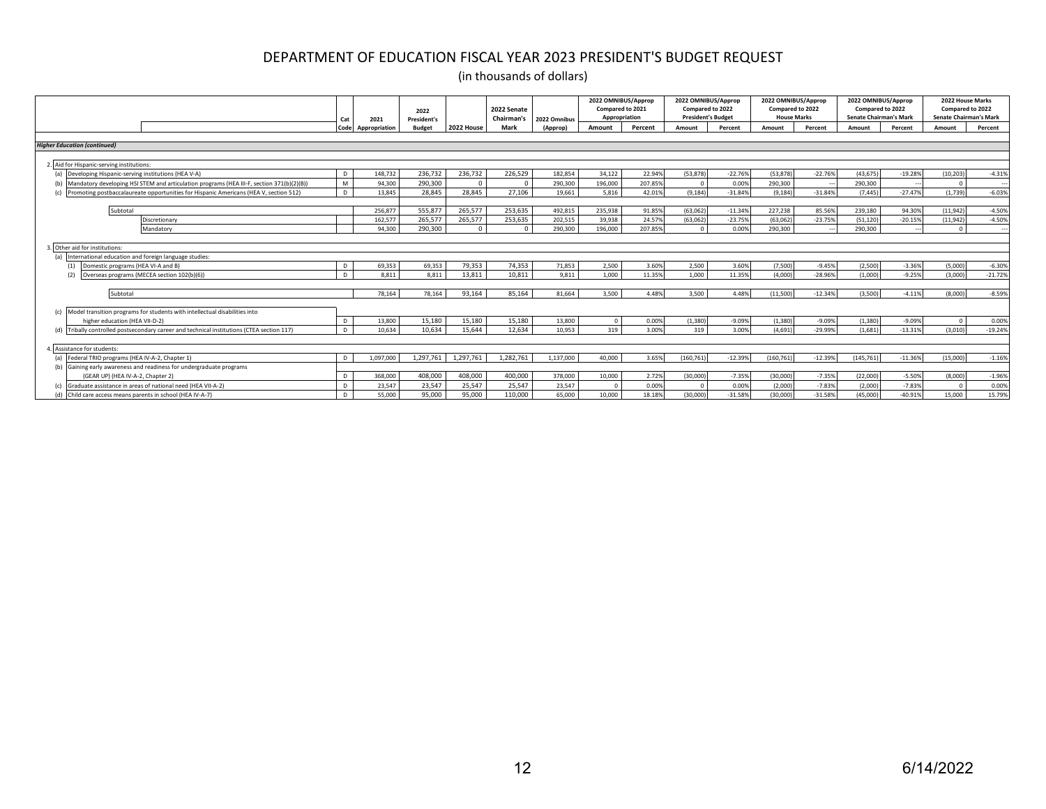|                                                                                           | Cat  | 2021          | 2022<br><b>President's</b> |            | 2022 Senate<br>Chairman's | 2022 Omnibus | 2022 OMNIBUS/Approp<br>Compared to 2021<br>Appropriation |         | 2022 OMNIBUS/Approp<br>Compared to 2022<br><b>President's Budget</b> |           | 2022 OMNIBUS/Approp<br>Compared to 2022<br><b>House Marks</b> |           | 2022 OMNIBUS/Approp | Compared to 2022<br><b>Senate Chairman's Mark</b> | 2022 House Marks<br>Compared to 2022<br><b>Senate Chairman's Mark</b> |           |
|-------------------------------------------------------------------------------------------|------|---------------|----------------------------|------------|---------------------------|--------------|----------------------------------------------------------|---------|----------------------------------------------------------------------|-----------|---------------------------------------------------------------|-----------|---------------------|---------------------------------------------------|-----------------------------------------------------------------------|-----------|
|                                                                                           | Code | Appropriation | <b>Budget</b>              | 2022 House | Mark                      | (Approp)     | Amount                                                   | Percent | Amount                                                               | Percent   | Amount                                                        | Percent   | Amount              | Percent                                           | Amount                                                                | Percent   |
|                                                                                           |      |               |                            |            |                           |              |                                                          |         |                                                                      |           |                                                               |           |                     |                                                   |                                                                       |           |
| <b>Higher Education (continued)</b>                                                       |      |               |                            |            |                           |              |                                                          |         |                                                                      |           |                                                               |           |                     |                                                   |                                                                       |           |
|                                                                                           |      |               |                            |            |                           |              |                                                          |         |                                                                      |           |                                                               |           |                     |                                                   |                                                                       |           |
| 2. Aid for Hispanic-serving institutions                                                  |      |               |                            |            |                           |              |                                                          |         |                                                                      |           |                                                               |           |                     |                                                   |                                                                       |           |
| (a) Developing Hispanic-serving institutions (HEA V-A)                                    |      | 148,732       | 236,732                    | 236,732    | 226,529                   | 182,854      | 34,122                                                   | 22.94%  | (53, 878)                                                            | $-22.76%$ | (53.878)                                                      | $-22.76%$ | (43, 675)           | $-19.28%$                                         | (10, 203)                                                             | $-4.31%$  |
| Mandatory developing HSI STEM and articulation programs (HEA III-F, section 371(b)(2)(B)) | M    | 94.300        | 290,300                    | $\sqrt{2}$ |                           | 290,300      | 196,000                                                  | 207.85% |                                                                      | 0.00%     | 290.300                                                       |           | 290,300             |                                                   |                                                                       |           |
| Promoting postbaccalaureate opportunities for Hispanic Americans (HEA V, section 512)     | D.   | 13.845        | 28.845                     | 28.845     | 27.106                    | 19.661       | 5,816                                                    | 42.01%  | (9.184)                                                              | $-31.84%$ | (9.184)                                                       | $-31.84%$ | (7, 445)            | $-27.47%$                                         | (1,739)                                                               | $-6.03%$  |
|                                                                                           |      |               |                            |            |                           |              |                                                          |         |                                                                      |           |                                                               |           |                     |                                                   |                                                                       |           |
| Subtotal                                                                                  |      | 256.877       | 555.87                     | 265.577    | 253.635                   | 492.815      | 235,938                                                  | 91.85%  | (63.062                                                              | $-11.34%$ | 227.238                                                       | 85.569    | 239,180             | 94.30%                                            | (11, 942)                                                             | $-4.50%$  |
| Discretionary                                                                             |      | 162.577       | 265,577                    | 265,577    | 253,635                   | 202,515      | 39.938                                                   | 24.57%  | (63,062)                                                             | $-23.75%$ | (63.062)                                                      | $-23.75%$ | (51, 120)           | $-20.15%$                                         | (11, 942)                                                             | $-4.50%$  |
| Mandatory                                                                                 |      | 94,300        | 290,300                    | $\Omega$   | $\sqrt{ }$                | 290,300      | 196,000                                                  | 207.85% |                                                                      | 0.00%     | 290,300                                                       |           | 290,300             |                                                   |                                                                       |           |
|                                                                                           |      |               |                            |            |                           |              |                                                          |         |                                                                      |           |                                                               |           |                     |                                                   |                                                                       |           |
| Other aid for institutions:                                                               |      |               |                            |            |                           |              |                                                          |         |                                                                      |           |                                                               |           |                     |                                                   |                                                                       |           |
| International education and foreign language studies:                                     |      |               |                            |            |                           |              |                                                          |         |                                                                      |           |                                                               |           |                     |                                                   |                                                                       |           |
| Domestic programs (HEA VI-A and B)<br>(1)                                                 | D    | 69,353        | 69,353                     | 79,353     | 74,353                    | 71,853       | 2,500                                                    | 3.60%   | 2,500                                                                | 3.60%     | (7,500)                                                       | $-9.45%$  | (2,500)             | $-3.36%$                                          | (5,000)                                                               | $-6.30%$  |
| Overseas programs (MECEA section 102(b)(6))<br>(2)                                        |      | 8.811         | 8,811                      | 13.811     | 10.811                    | 9.811        | 1.000                                                    | 11.35%  | 1.000                                                                | 11.35%    | (4.000)                                                       | $-28.96%$ | (1.000)             | $-9.25%$                                          | (3,000)                                                               | $-21.72%$ |
|                                                                                           |      |               |                            |            |                           |              |                                                          |         |                                                                      |           |                                                               |           |                     |                                                   |                                                                       |           |
| Subtotal                                                                                  |      | 78.164        | 78.164                     | 93.164     | 85.164                    | 81.664       | 3.500                                                    | 4.48%   | 3.500                                                                | 4.48%     | (11.500)                                                      | $-12.34%$ | (3.500)             | $-4.11%$                                          | (8.000)                                                               | $-8.59%$  |
|                                                                                           |      |               |                            |            |                           |              |                                                          |         |                                                                      |           |                                                               |           |                     |                                                   |                                                                       |           |
| Model transition programs for students with intellectual disabilities into                |      |               |                            |            |                           |              |                                                          |         |                                                                      |           |                                                               |           |                     |                                                   |                                                                       |           |
| higher education (HEA VII-D-2)                                                            |      | 13,800        | 15,180                     | 15,180     | 15,180                    | 13,800       | $\Omega$                                                 | 0.00%   | (1, 380)                                                             | $-9.09%$  | (1, 380)                                                      | $-9.09%$  | (1, 380)            | $-9.09%$                                          |                                                                       | 0.00%     |
| Tribally controlled postsecondary career and technical institutions (CTEA section 117)    |      | 10.634        | 10,634                     | 15.644     | 12.634                    | 10.953       | 319                                                      | 3.00%   | 319                                                                  | 3.00%     | (4.691)                                                       | $-29.99%$ | (1,681)             | $-13.31%$                                         | (3,010)                                                               | $-19.24%$ |
|                                                                                           |      |               |                            |            |                           |              |                                                          |         |                                                                      |           |                                                               |           |                     |                                                   |                                                                       |           |
| Assistance for students:                                                                  |      |               |                            |            |                           |              |                                                          |         |                                                                      |           |                                                               |           |                     |                                                   |                                                                       |           |
| (a) Federal TRIO programs (HEA IV-A-2, Chapter 1)                                         |      | 1.097.000     | 1,297,761                  | 1.297.761  | 1,282,761                 | 1.137.000    | 40,000                                                   | 3.65%   | (160.761)                                                            | $-12.39%$ | (160.761)                                                     | $-12.39%$ | (145, 761)          | $-11.36%$                                         | (15,000)                                                              | $-1.16%$  |
| Gaining early awareness and readiness for undergraduate programs                          |      |               |                            |            |                           |              |                                                          |         |                                                                      |           |                                                               |           |                     |                                                   |                                                                       |           |
| (GEAR UP) (HEA IV-A-2, Chapter 2)                                                         |      | 368,000       | 408,000                    | 408,000    | 400.000                   | 378,000      | 10,000                                                   | 2.72%   | (30,000)                                                             | $-7.35%$  | (30,000)                                                      | $-7.35%$  | (22,000)            | $-5.50%$                                          | (8,000)                                                               | $-1.96%$  |
| Graduate assistance in areas of national need (HEA VII-A-2)                               |      | 23,547        | 23,547                     | 25,547     | 25,547                    | 23,547       | $\Omega$                                                 | 0.00%   |                                                                      | 0.00%     | (2,000)                                                       | $-7.83%$  | (2,000)             | $-7.83%$                                          |                                                                       | 0.00%     |
| (d) Child care access means parents in school (HEA IV-A-7)                                |      | 55,000        | 95,000                     | 95.000     | 110,000                   | 65,000       | 10,000                                                   | 18.18%  | (30,000)                                                             | $-31.58%$ | (30,000)                                                      | $-31.58%$ | (45,000)            | $-40.91%$                                         | 15,000                                                                | 15.79%    |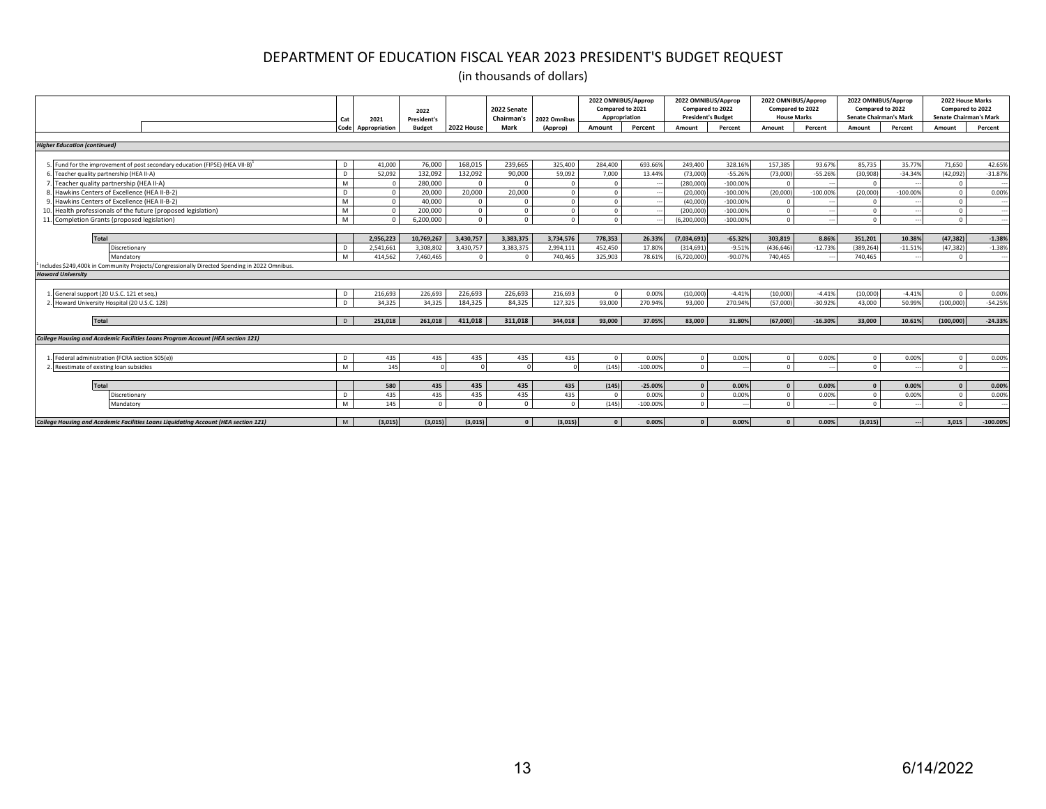|                                                                                                           | Cat  | 2021          | 2022<br><b>President's</b> |            | 2022 Senate<br>Chairman's | 2022 Omnibus | 2022 OMNIBUS/Approp<br>Compared to 2021<br>Appropriation |            | 2022 OMNIBUS/Approp<br>Compared to 2022<br><b>President's Budget</b> |                          | 2022 OMNIBUS/Approp<br>Compared to 2022<br><b>House Marks</b> |            | 2022 OMNIBUS/Approp<br>Compared to 2022<br><b>Senate Chairman's Mark</b> |            | 2022 House Marks<br>Compared to 2022<br><b>Senate Chairman's Mark</b> |            |
|-----------------------------------------------------------------------------------------------------------|------|---------------|----------------------------|------------|---------------------------|--------------|----------------------------------------------------------|------------|----------------------------------------------------------------------|--------------------------|---------------------------------------------------------------|------------|--------------------------------------------------------------------------|------------|-----------------------------------------------------------------------|------------|
|                                                                                                           | Code | Appropriation | <b>Budget</b>              | 2022 House | Mark                      | (Approp)     | Amount                                                   | Percent    | Amount                                                               | Percent                  | Amount                                                        | Percent    | Amount                                                                   | Percent    | Amount                                                                | Percent    |
| <b>Higher Education (continued)</b>                                                                       |      |               |                            |            |                           |              |                                                          |            |                                                                      |                          |                                                               |            |                                                                          |            |                                                                       |            |
|                                                                                                           |      |               |                            |            |                           |              |                                                          |            |                                                                      |                          |                                                               |            |                                                                          |            |                                                                       |            |
| 5. Fund for the improvement of post secondary education (FIPSE) (HEA VII-B) <sup>1</sup>                  | D    | 41,000        | 76,000                     | 168,015    | 239,665                   | 325,400      | 284,400                                                  | 693.66%    | 249,400                                                              | 328.16%                  | 157,385                                                       | 93.67%     | 85,735                                                                   | 35.77%     | 71,650                                                                | 42.65%     |
| Teacher quality partnership (HEA II-A)                                                                    | D    | 52,092        | 132,092                    | 132,092    | 90,000                    | 59,092       | 7,000                                                    | 13.44%     | (73,000)                                                             | $-55.26%$                | (73.000)                                                      | $-55.26%$  | (30, 908)                                                                | $-34.34%$  | (42,092)                                                              | $-31.87%$  |
| Teacher quality partnership (HEA II-A)                                                                    | M    |               | 280,000                    | $\Omega$   |                           |              | $\Omega$                                                 |            | (280,000                                                             | $-100.00%$               |                                                               |            | $\Omega$                                                                 |            |                                                                       |            |
| Hawkins Centers of Excellence (HEA II-B-2)                                                                | D    | $\Omega$      | 20,000                     | 20,000     | 20,000                    |              | $\Omega$                                                 |            | (20,000)                                                             | $-100.00%$               | (20.000)                                                      | $-100.00%$ | (20,000)                                                                 | $-100.00%$ |                                                                       | 0.00%      |
| Hawkins Centers of Excellence (HEA II-B-2)                                                                | M    | $\sqrt{ }$    | 40,000                     | $\Omega$   |                           |              | $\Omega$                                                 |            | (40,000)                                                             | $-100.00%$               |                                                               |            | $\sqrt{ }$                                                               |            |                                                                       |            |
| 10. Health professionals of the future (proposed legislation)                                             | M    |               | 200,000                    | $^{\circ}$ |                           | $\Omega$     | $\Omega$                                                 |            | (200,000)                                                            | $-100.00%$               |                                                               |            | $\Omega$                                                                 |            |                                                                       |            |
| 11. Completion Grants (proposed legislation)                                                              | M    |               | 6.200.000                  | $\Omega$   |                           |              | $\Omega$                                                 |            | (6.200.000                                                           | $-100.00%$               |                                                               |            | $\Omega$                                                                 |            |                                                                       |            |
|                                                                                                           |      |               |                            |            |                           |              |                                                          |            |                                                                      |                          |                                                               |            |                                                                          |            |                                                                       |            |
| <b>Total</b>                                                                                              |      | 2,956,223     | 10,769,267                 | 3,430,757  | 3,383,375                 | 3,734,576    | 778,353                                                  | 26.33%     | (7,034,691)                                                          | $-65.32%$                | 303,819                                                       | 8.86%      | 351,201                                                                  | 10.38%     | (47, 382)                                                             | $-1.38%$   |
| Discretionary                                                                                             |      | 2.541.661     | 3.308.802                  | 3,430,757  | 3,383,375                 | 2,994,111    | 452,450                                                  | 17,809     | (314, 691)                                                           | $-9.51%$                 | (436,646)                                                     | $-12.73%$  | (389, 264)                                                               | $-11.51%$  | (47, 382)                                                             | $-1.389$   |
| Mandatory                                                                                                 | M    | 414.562       | 7.460.465                  |            |                           | 740.465      | 325.903                                                  | 78.61%     | (6.720.000)                                                          | $-90.07%$                | 740.465                                                       |            | 740.465                                                                  |            |                                                                       |            |
| <sup>1</sup> Includes \$249,400k in Community Projects/Congressionally Directed Spending in 2022 Omnibus. |      |               |                            |            |                           |              |                                                          |            |                                                                      |                          |                                                               |            |                                                                          |            |                                                                       |            |
| <b>Howard University</b>                                                                                  |      |               |                            |            |                           |              |                                                          |            |                                                                      |                          |                                                               |            |                                                                          |            |                                                                       |            |
|                                                                                                           |      |               |                            |            |                           |              |                                                          |            |                                                                      |                          |                                                               |            |                                                                          |            |                                                                       |            |
| General support (20 U.S.C. 121 et seg.)                                                                   | D    | 216.693       | 226.693                    | 226,693    | 226.693                   | 216.693      | $\sqrt{2}$                                               | 0.00%      | (10.000)                                                             | $-4.41%$                 | (10.000)                                                      | $-4.41%$   | (10.000)                                                                 | $-4.41%$   |                                                                       | 0.00%      |
| Howard University Hospital (20 U.S.C. 128)                                                                | D.   | 34,325        | 34,325                     | 184,325    | 84,325                    | 127,325      | 93,000                                                   | 270.94%    | 93,000                                                               | 270.94%                  | (57,000)                                                      | $-30.92%$  | 43,000                                                                   | 50.99%     | (100,000)                                                             | $-54.25%$  |
|                                                                                                           |      |               |                            |            |                           |              |                                                          |            |                                                                      |                          |                                                               |            |                                                                          |            |                                                                       |            |
| Total                                                                                                     | D.   | 251.018       | 261.018                    | 411.018    | 311.018                   | 344.018      | 93,000                                                   | 37.05%     | 83,000                                                               | 31.80%                   | (67.000)                                                      | $-16.30%$  | 33,000                                                                   | 10.61%     | (100,000)                                                             | $-24.33%$  |
|                                                                                                           |      |               |                            |            |                           |              |                                                          |            |                                                                      |                          |                                                               |            |                                                                          |            |                                                                       |            |
| College Housing and Academic Facilities Loans Program Account (HEA section 121)                           |      |               |                            |            |                           |              |                                                          |            |                                                                      |                          |                                                               |            |                                                                          |            |                                                                       |            |
|                                                                                                           |      |               |                            |            |                           |              |                                                          |            |                                                                      |                          |                                                               |            |                                                                          |            |                                                                       |            |
| Federal administration (FCRA section 505(e))                                                              | D    | 435           | 435                        | 435        | 435                       | 435          | $\Omega$                                                 | 0.00%      | $\Omega$                                                             | 0.00%                    |                                                               | 0.00%      | $\Omega$                                                                 | 0.00%      |                                                                       | 0.00%      |
| Reestimate of existing loan subsidies                                                                     | M    | 145           |                            |            |                           |              | (145)                                                    | $-100.00%$ | $\Omega$                                                             | $\overline{\phantom{a}}$ |                                                               |            | $\Omega$                                                                 |            | $\Omega$                                                              | ٠.         |
|                                                                                                           |      |               |                            |            |                           |              |                                                          |            |                                                                      |                          |                                                               |            |                                                                          |            |                                                                       |            |
| <b>Total</b>                                                                                              |      | 580           | 435                        | 435        | 435                       | 435          | (145)                                                    | $-25.00%$  |                                                                      | 0.00%                    |                                                               | 0.00%      | $\mathbf{r}$                                                             | 0.00%      |                                                                       | 0.00%      |
| Discretionary                                                                                             | D    | 435           | 435                        | 435        | 435                       | 435          | $\Omega$                                                 | 0.009      |                                                                      | 0.00%                    |                                                               | 0.00%      | $\Omega$                                                                 | 0.00%      |                                                                       | 0.00%      |
| Mandatory                                                                                                 | M    | 145           | $\Omega$                   | $\Omega$   | $\Omega$                  | $\Omega$     | (145)                                                    | $-100.009$ |                                                                      |                          |                                                               |            | $\sim$                                                                   |            |                                                                       |            |
|                                                                                                           |      |               |                            |            |                           |              |                                                          |            |                                                                      |                          |                                                               |            |                                                                          |            |                                                                       |            |
| College Housing and Academic Facilities Loans Liquidating Account (HEA section 121)                       | M    | (3,015)       | (3,015)                    | (3,015)    | $\overline{0}$            | (3,015)      | $\mathbf{0}$                                             | $0.00\%$   | $\mathbf{0}$                                                         | 0.00%                    | $\Omega$                                                      | 0.00%      | (3,015)                                                                  | ---        | 3.015                                                                 | $-100.00%$ |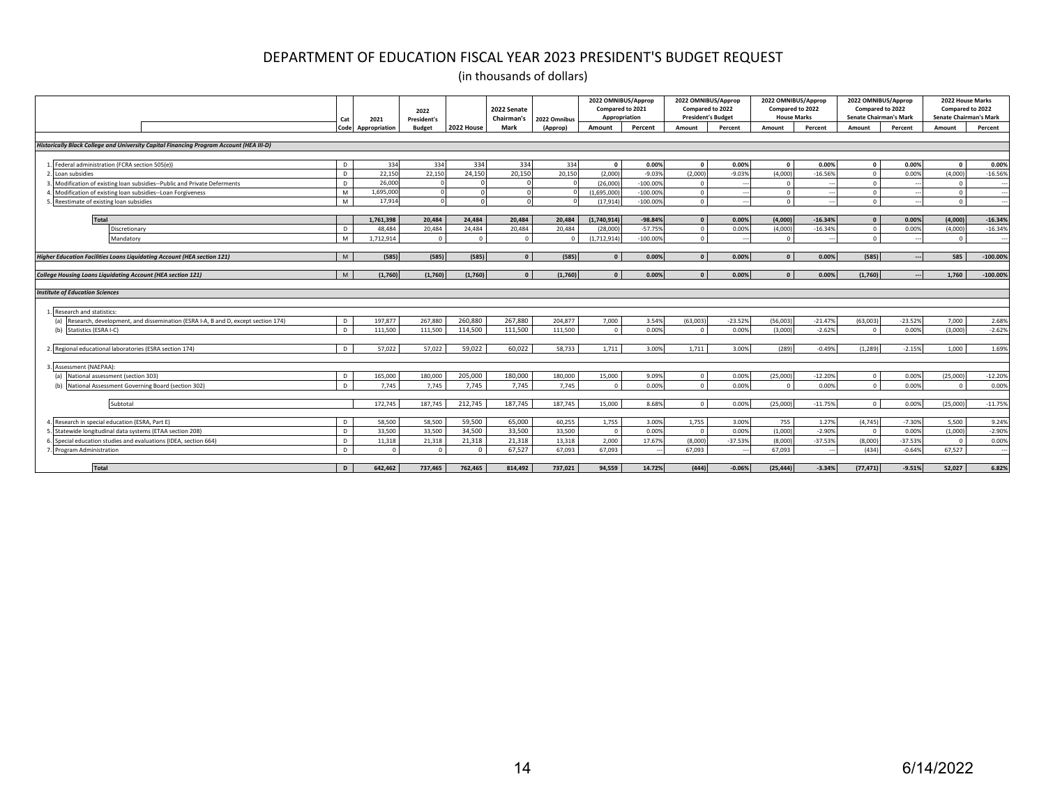|                                                                                         | Cat<br>Code  | 2021          | 2022<br>President's | 2022 House | 2022 Senate<br>Chairman's<br>Mark | 2022 Omnibus<br>(Approp) | 2022 OMNIBUS/Approp<br>Compared to 2021<br>Appropriation<br>Amount | Percent    | 2022 OMNIBUS/Approp<br>Compared to 2022<br><b>President's Budget</b><br>Amount | Percent   | 2022 OMNIBUS/Approp<br>Compared to 2022<br><b>House Marks</b><br>Amount | Percent   | 2022 OMNIBUS/Approp<br>Compared to 2022<br>Senate Chairman's Mark<br>Amount | Percent   | 2022 House Marks<br>Compared to 2022<br><b>Senate Chairman's Mark</b><br>Amount | Percent    |
|-----------------------------------------------------------------------------------------|--------------|---------------|---------------------|------------|-----------------------------------|--------------------------|--------------------------------------------------------------------|------------|--------------------------------------------------------------------------------|-----------|-------------------------------------------------------------------------|-----------|-----------------------------------------------------------------------------|-----------|---------------------------------------------------------------------------------|------------|
|                                                                                         |              | Appropriation | <b>Budget</b>       |            |                                   |                          |                                                                    |            |                                                                                |           |                                                                         |           |                                                                             |           |                                                                                 |            |
| Historically Black College and University Capital Financing Program Account (HEA III-D) |              |               |                     |            |                                   |                          |                                                                    |            |                                                                                |           |                                                                         |           |                                                                             |           |                                                                                 |            |
|                                                                                         |              |               |                     |            |                                   |                          |                                                                    |            |                                                                                |           |                                                                         |           |                                                                             |           |                                                                                 |            |
| Federal administration (FCRA section 505(e))                                            | D            | 334           | 334                 | 334        | 334                               | 334                      | $\Omega$                                                           | 0.00%      | $\Omega$                                                                       | 0.00%     | $\Omega$                                                                | 0.00%     | $\mathbf{0}$                                                                | 0.00%     | $\sqrt{2}$                                                                      | 0.00%      |
| Loan subsidies                                                                          | D            | 22,150        | 22,150              | 24,150     | 20.150                            | 20,150                   | (2.000)                                                            | $-9.03%$   | (2.000)                                                                        | $-9.03%$  | (4,000)                                                                 | $-16.569$ | $\overline{0}$                                                              | 0.00%     | (4,000)                                                                         | $-16.56%$  |
| Modification of existing loan subsidies--Public and Private Deferments                  | D.           | 26,000        |                     |            |                                   |                          | (26,000)                                                           | $-100.009$ | $\Omega$                                                                       |           | - 0                                                                     |           | $\Omega$                                                                    |           |                                                                                 |            |
| Modification of existing loan subsidies--Loan Forgiveness                               | M            | 1,695,000     |                     |            |                                   |                          | (1,695,000)                                                        | $-100.009$ | $\Omega$                                                                       |           | $\Omega$                                                                |           | $\circ$                                                                     |           |                                                                                 |            |
| Reestimate of existing loan subsidies                                                   | M            | 17,914        | $\Omega$            |            |                                   |                          | (17, 914)                                                          | $-100.009$ | $\Omega$                                                                       |           | $\Omega$                                                                |           | $\Omega$                                                                    |           | $\Omega$                                                                        |            |
|                                                                                         |              |               |                     |            |                                   |                          |                                                                    |            |                                                                                |           |                                                                         |           |                                                                             |           |                                                                                 |            |
| <b>Total</b>                                                                            |              | 1,761,398     | 20,484              | 24,484     | 20,484                            | 20,484                   | (1,740,914)                                                        | $-98.84%$  | $\sqrt{ }$                                                                     | 0.00%     | (4,000)                                                                 | $-16.34%$ | $\Omega$                                                                    | 0.00%     | (4,000)                                                                         | $-16.34%$  |
| Discretionary                                                                           | D.           | 48.484        | 20,484              | 24,484     | 20,484                            | 20,484                   | (28,000)                                                           | $-57.759$  | $\circ$                                                                        | 0.00%     | (4,000)                                                                 | $-16.349$ | $\circ$                                                                     | 0.00%     | (4,000)                                                                         | $-16.34%$  |
| Mandatory                                                                               | M            | 1,712,914     | $\Omega$            | $\Omega$   | $\Omega$                          | $\Omega$                 | (1,712,914)                                                        | $-100.00%$ | $\Omega$                                                                       |           | $\Omega$                                                                |           | $\Omega$                                                                    |           | $\Omega$                                                                        |            |
|                                                                                         |              |               |                     |            |                                   |                          |                                                                    |            |                                                                                |           |                                                                         |           |                                                                             |           |                                                                                 |            |
| <b>Higher Education Facilities Loans Liquidating Account (HEA section 121)</b>          | M            | (585)         | (585)               | (585)      | $\Omega$                          | (585)                    | $\Omega$                                                           | 0.00%      | $\Omega$                                                                       | 0.00%     | $\sqrt{ }$                                                              | 0.00%     | (585)                                                                       |           | 585                                                                             | $-100.00%$ |
|                                                                                         |              |               |                     |            |                                   |                          |                                                                    |            |                                                                                |           |                                                                         |           |                                                                             |           |                                                                                 |            |
| College Housing Loans Liquidating Account (HEA section 121)                             | M            | (1,760)       | (1,760)             | (1,760)    | $\Omega$                          | (1,760)                  | $\Omega$                                                           | 0.00%      | $\mathbf{r}$                                                                   | 0.00%     |                                                                         | 0.00%     | (1,760)                                                                     |           | 1,760                                                                           | $-100.00%$ |
| <b>Institute of Education Sciences</b>                                                  |              |               |                     |            |                                   |                          |                                                                    |            |                                                                                |           |                                                                         |           |                                                                             |           |                                                                                 |            |
|                                                                                         |              |               |                     |            |                                   |                          |                                                                    |            |                                                                                |           |                                                                         |           |                                                                             |           |                                                                                 |            |
| Research and statistics:                                                                |              |               |                     |            |                                   |                          |                                                                    |            |                                                                                |           |                                                                         |           |                                                                             |           |                                                                                 |            |
| (a) Research, development, and dissemination (ESRA I-A, B and D, except section 174)    | D.           | 197,877       | 267,880             | 260,880    | 267,880                           | 204,877                  | 7,000                                                              | 3.54%      | (63,003)                                                                       | $-23.52%$ | (56,003)                                                                | $-21.47%$ | (63,003)                                                                    | $-23.52%$ | 7,000                                                                           | 2.68%      |
| Statistics (ESRA I-C)                                                                   | D.           | 111.500       | 111,500             | 114,500    | 111.500                           | 111,500                  | $\mathbf{0}$                                                       | 0.00%      | $\Omega$                                                                       | 0.00%     | (3.000)                                                                 | $-2.62%$  | $\overline{0}$                                                              | 0.00%     | (3.000)                                                                         | $-2.62%$   |
|                                                                                         |              |               |                     |            |                                   |                          |                                                                    |            |                                                                                |           |                                                                         |           |                                                                             |           |                                                                                 |            |
| 2. Regional educational laboratories (ESRA section 174)                                 | D.           | 57.022        | 57,022              | 59.022     | 60.022                            | 58.733                   | 1,711                                                              | 3.00%      | 1.711                                                                          | 3.00%     | (289)                                                                   | $-0.49%$  | (1, 289)                                                                    | $-2.15%$  | 1.000                                                                           | 1.69%      |
|                                                                                         |              |               |                     |            |                                   |                          |                                                                    |            |                                                                                |           |                                                                         |           |                                                                             |           |                                                                                 |            |
| Assessment (NAEPAA):                                                                    |              |               |                     |            |                                   |                          |                                                                    |            |                                                                                |           |                                                                         |           |                                                                             |           |                                                                                 |            |
| National assessment (section 303)<br>(a)                                                | D            | 165,000       | 180,000             | 205,000    | 180,000                           | 180,000                  | 15,000                                                             | 9.09%      | $\overline{0}$                                                                 | 0.00%     | (25,000)                                                                | $-12.20%$ | $\circ$                                                                     | 0.00%     | (25,000)                                                                        | $-12.20%$  |
| National Assessment Governing Board (section 302)                                       | n.           | 7.745         | 7,745               | 7.745      | 7.745                             | 7.745                    | $\Omega$                                                           | 0.009      | $\Omega$                                                                       | 0.00%     |                                                                         | 0.00%     | $\Omega$                                                                    | 0.00%     |                                                                                 | 0.00%      |
|                                                                                         |              |               |                     |            |                                   |                          |                                                                    |            |                                                                                |           |                                                                         |           |                                                                             |           |                                                                                 |            |
| Subtotal                                                                                |              | 172.745       | 187.745             | 212.745    | 187.745                           | 187.745                  | 15,000                                                             | 8.68%      | $\Omega$                                                                       | 0.00%     | (25.000)                                                                | $-11.75%$ | $\circ$                                                                     | 0.00%     | (25.000)                                                                        | $-11.759$  |
|                                                                                         |              |               |                     |            |                                   |                          |                                                                    |            |                                                                                |           |                                                                         |           |                                                                             |           |                                                                                 |            |
| Research in special education (ESRA, Part E)                                            | D            | 58,500        | 58,500              | 59.500     | 65.000                            | 60,255                   | 1,755                                                              | 3.00%      | 1.755                                                                          | 3.00%     | 755                                                                     | 1.27%     | (4, 745)                                                                    | $-7.30%$  | 5.500                                                                           | 9.24%      |
| Statewide longitudinal data systems (ETAA section 208)                                  |              | 33.500        | 33,500              | 34,500     | 33,500                            | 33,500                   | $\Omega$                                                           | 0.009      | $\Omega$                                                                       | 0.00%     | (1.000)                                                                 | $-2.90%$  | $\Omega$                                                                    | 0.00%     | (1,000)                                                                         | $-2.90%$   |
| Special education studies and evaluations (IDEA, section 664)                           | D            | 11,318        | 21,318              | 21,318     | 21,318                            | 13,318                   | 2,000                                                              | 17.679     | (8,000)                                                                        | $-37.53%$ | (8,000)                                                                 | $-37.53%$ | (8,000)                                                                     | $-37.53%$ |                                                                                 | 0.00%      |
| Program Administration                                                                  | $\mathsf{D}$ | $\Omega$      |                     | $\Omega$   | 67,527                            | 67.093                   | 67.093                                                             |            | 67.093                                                                         |           | 67.093                                                                  |           | (434)                                                                       | $-0.64%$  | 67,527                                                                          |            |
|                                                                                         |              |               |                     |            |                                   |                          |                                                                    |            |                                                                                |           |                                                                         |           |                                                                             |           |                                                                                 |            |
| Total                                                                                   | D            | 642.462       | 737.465             | 762.465    | 814.492                           | 737.021                  | 94.559                                                             | 14.72%     | (444)                                                                          | $-0.06%$  | (25.444)                                                                | $-3.34%$  | (77.471)                                                                    | $-9.51%$  | 52.027                                                                          | 6.82%      |